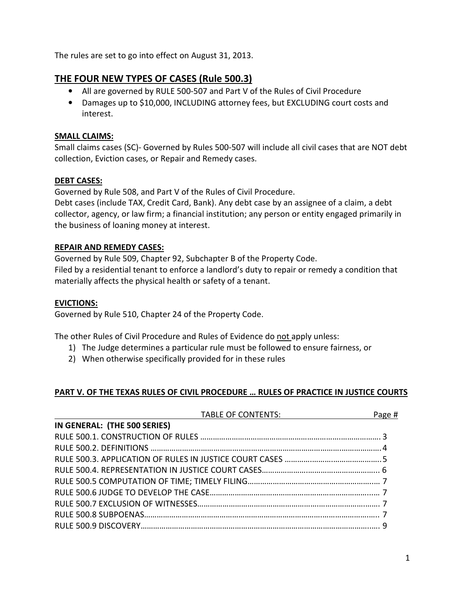The rules are set to go into effect on August 31, 2013.

## THE FOUR NEW TYPES OF CASES (Rule 500.3)

- All are governed by RULE 500-507 and Part V of the Rules of Civil Procedure
- Damages up to \$10,000, INCLUDING attorney fees, but EXCLUDING court costs and interest.

#### SMALL CLAIMS:

Small claims cases (SC)- Governed by Rules 500-507 will include all civil cases that are NOT debt collection, Eviction cases, or Repair and Remedy cases.

#### DEBT CASES:

Governed by Rule 508, and Part V of the Rules of Civil Procedure.

Debt cases (include TAX, Credit Card, Bank). Any debt case by an assignee of a claim, a debt collector, agency, or law firm; a financial institution; any person or entity engaged primarily in the business of loaning money at interest.

#### REPAIR AND REMEDY CASES:

Governed by Rule 509, Chapter 92, Subchapter B of the Property Code. Filed by a residential tenant to enforce a landlord's duty to repair or remedy a condition that materially affects the physical health or safety of a tenant.

#### EVICTIONS:

Governed by Rule 510, Chapter 24 of the Property Code.

The other Rules of Civil Procedure and Rules of Evidence do not apply unless:

- 1) The Judge determines a particular rule must be followed to ensure fairness, or
- 2) When otherwise specifically provided for in these rules

## PART V. OF THE TEXAS RULES OF CIVIL PROCEDURE … RULES OF PRACTICE IN JUSTICE COURTS

| IN GENERAL: (THE 500 SERIES) | Page # |
|------------------------------|--------|
|                              |        |
|                              |        |
|                              |        |
|                              |        |
|                              |        |
|                              |        |
|                              |        |
|                              |        |
|                              |        |
|                              |        |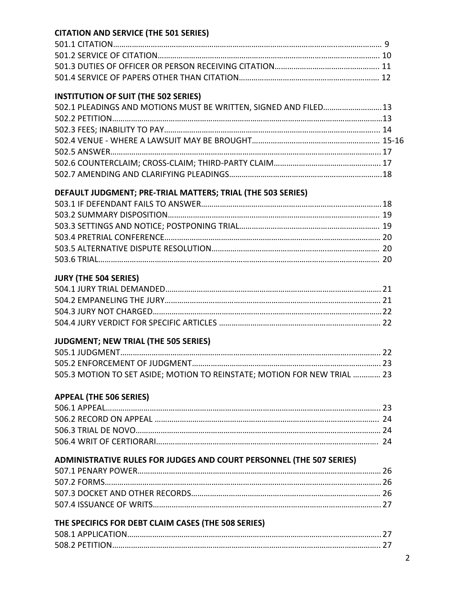## CITATION AND SERVICE (THE 501 SERIES)

## INSTITUTION OF SUIT (THE 502 SERIES)

| 502.1 PLEADINGS AND MOTIONS MUST BE WRITTEN, SIGNED AND FILED 13 |  |
|------------------------------------------------------------------|--|
|                                                                  |  |
|                                                                  |  |
|                                                                  |  |
|                                                                  |  |
|                                                                  |  |
|                                                                  |  |

## DEFAULT JUDGMENT; PRE-TRIAL MATTERS; TRIAL (THE 503 SERIES)

#### JURY (THE 504 SERIES)

## JUDGMENT; NEW TRIAL (THE 505 SERIES)

| 505.3 MOTION TO SET ASIDE; MOTION TO REINSTATE; MOTION FOR NEW TRIAL  23 |  |
|--------------------------------------------------------------------------|--|

#### APPEAL (THE 506 SERIES)

## ADMINISTRATIVE RULES FOR JUDGES AND COURT PERSONNEL (THE 507 SERIES)

## THE SPECIFICS FOR DEBT CLAIM CASES (THE 508 SERIES)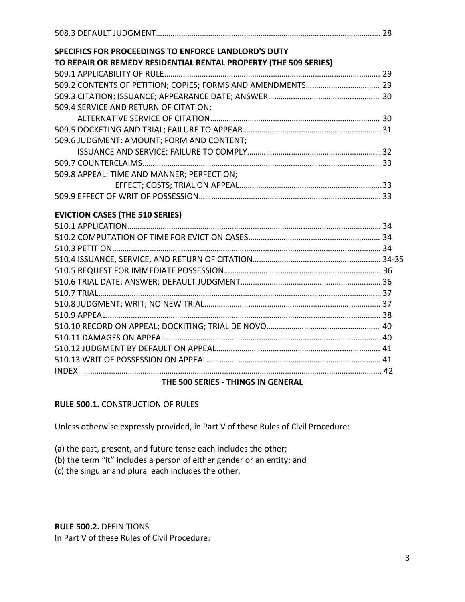| SPECIFICS FOR PROCEEDINGS TO ENFORCE LANDLORD'S DUTY             |  |
|------------------------------------------------------------------|--|
| TO REPAIR OR REMEDY RESIDENTIAL RENTAL PROPERTY (THE 509 SERIES) |  |
|                                                                  |  |
|                                                                  |  |
|                                                                  |  |
| 509.4 SERVICE AND RETURN OF CITATION;                            |  |
|                                                                  |  |
|                                                                  |  |
| 509.6 JUDGMENT: AMOUNT; FORM AND CONTENT;                        |  |
|                                                                  |  |
|                                                                  |  |
| 509.8 APPEAL: TIME AND MANNER; PERFECTION;                       |  |
|                                                                  |  |
|                                                                  |  |
| <b>EVICTION CASES (THE 510 SERIES)</b>                           |  |
|                                                                  |  |
|                                                                  |  |
|                                                                  |  |
|                                                                  |  |
|                                                                  |  |
|                                                                  |  |
|                                                                  |  |
|                                                                  |  |
|                                                                  |  |
|                                                                  |  |
|                                                                  |  |
|                                                                  |  |
|                                                                  |  |
|                                                                  |  |
| THE 500 SERIES - THINGS IN GENERAL                               |  |

RULE 500.1. CONSTRUCTION OF RULES

Unless otherwise expressly provided, in Part V of these Rules of Civil Procedure:

(a) the past, present, and future tense each includes the other;

- (b) the term "it" includes a person of either gender or an entity; and
- (c) the singular and plural each includes the other.

RULE 500.2. DEFINITIONS

In Part V of these Rules of Civil Procedure: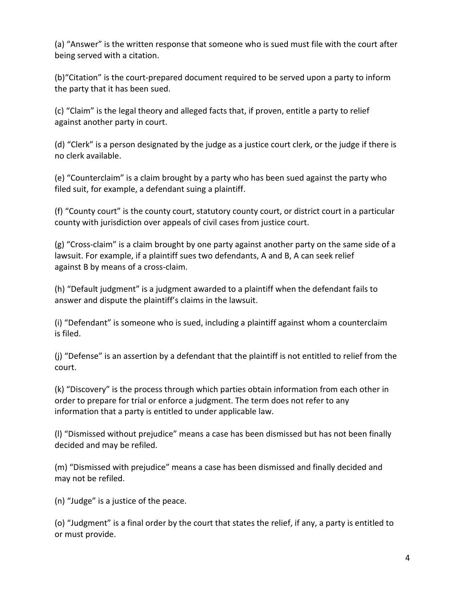(a) "Answer" is the written response that someone who is sued must file with the court after being served with a citation.

(b)"Citation" is the court-prepared document required to be served upon a party to inform the party that it has been sued.

(c) "Claim" is the legal theory and alleged facts that, if proven, entitle a party to relief against another party in court.

(d) "Clerk" is a person designated by the judge as a justice court clerk, or the judge if there is no clerk available.

(e) "Counterclaim" is a claim brought by a party who has been sued against the party who filed suit, for example, a defendant suing a plaintiff.

(f) "County court" is the county court, statutory county court, or district court in a particular county with jurisdiction over appeals of civil cases from justice court.

(g) "Cross-claim" is a claim brought by one party against another party on the same side of a lawsuit. For example, if a plaintiff sues two defendants, A and B, A can seek relief against B by means of a cross-claim.

(h) "Default judgment" is a judgment awarded to a plaintiff when the defendant fails to answer and dispute the plaintiff's claims in the lawsuit.

(i) "Defendant" is someone who is sued, including a plaintiff against whom a counterclaim is filed.

(j) "Defense" is an assertion by a defendant that the plaintiff is not entitled to relief from the court.

(k) "Discovery" is the process through which parties obtain information from each other in order to prepare for trial or enforce a judgment. The term does not refer to any information that a party is entitled to under applicable law.

(l) "Dismissed without prejudice" means a case has been dismissed but has not been finally decided and may be refiled.

(m) "Dismissed with prejudice" means a case has been dismissed and finally decided and may not be refiled.

(n) "Judge" is a justice of the peace.

(o) "Judgment" is a final order by the court that states the relief, if any, a party is entitled to or must provide.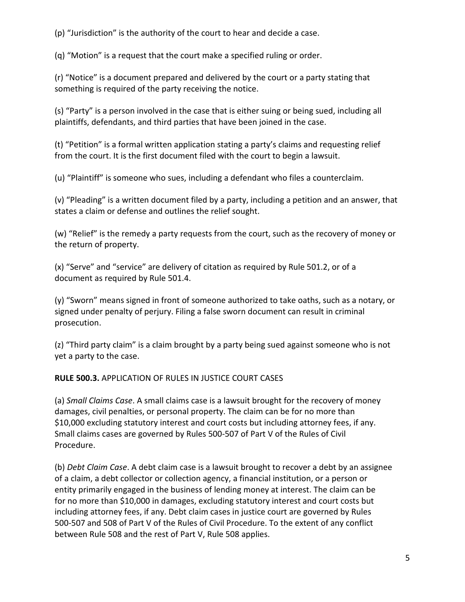(p) "Jurisdiction" is the authority of the court to hear and decide a case.

(q) "Motion" is a request that the court make a specified ruling or order.

(r) "Notice" is a document prepared and delivered by the court or a party stating that something is required of the party receiving the notice.

(s) "Party" is a person involved in the case that is either suing or being sued, including all plaintiffs, defendants, and third parties that have been joined in the case.

(t) "Petition" is a formal written application stating a party's claims and requesting relief from the court. It is the first document filed with the court to begin a lawsuit.

(u) "Plaintiff" is someone who sues, including a defendant who files a counterclaim.

(v) "Pleading" is a written document filed by a party, including a petition and an answer, that states a claim or defense and outlines the relief sought.

(w) "Relief" is the remedy a party requests from the court, such as the recovery of money or the return of property.

(x) "Serve" and "service" are delivery of citation as required by Rule 501.2, or of a document as required by Rule 501.4.

(y) "Sworn" means signed in front of someone authorized to take oaths, such as a notary, or signed under penalty of perjury. Filing a false sworn document can result in criminal prosecution.

(z) "Third party claim" is a claim brought by a party being sued against someone who is not yet a party to the case.

## RULE 500.3. APPLICATION OF RULES IN JUSTICE COURT CASES

(a) Small Claims Case. A small claims case is a lawsuit brought for the recovery of money damages, civil penalties, or personal property. The claim can be for no more than \$10,000 excluding statutory interest and court costs but including attorney fees, if any. Small claims cases are governed by Rules 500-507 of Part V of the Rules of Civil Procedure.

(b) Debt Claim Case. A debt claim case is a lawsuit brought to recover a debt by an assignee of a claim, a debt collector or collection agency, a financial institution, or a person or entity primarily engaged in the business of lending money at interest. The claim can be for no more than \$10,000 in damages, excluding statutory interest and court costs but including attorney fees, if any. Debt claim cases in justice court are governed by Rules 500-507 and 508 of Part V of the Rules of Civil Procedure. To the extent of any conflict between Rule 508 and the rest of Part V, Rule 508 applies.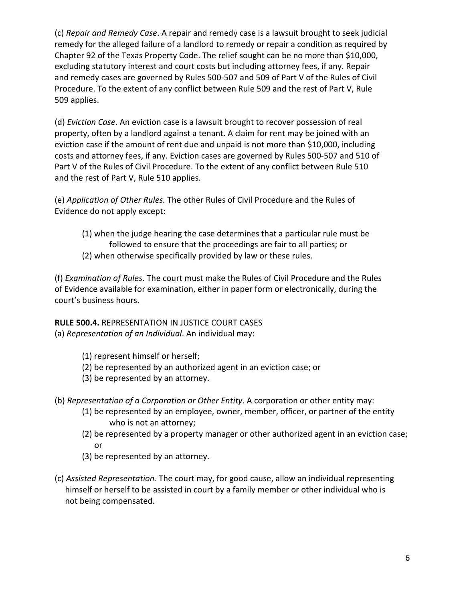(c) Repair and Remedy Case. A repair and remedy case is a lawsuit brought to seek judicial remedy for the alleged failure of a landlord to remedy or repair a condition as required by Chapter 92 of the Texas Property Code. The relief sought can be no more than \$10,000, excluding statutory interest and court costs but including attorney fees, if any. Repair and remedy cases are governed by Rules 500-507 and 509 of Part V of the Rules of Civil Procedure. To the extent of any conflict between Rule 509 and the rest of Part V, Rule 509 applies.

(d) Eviction Case. An eviction case is a lawsuit brought to recover possession of real property, often by a landlord against a tenant. A claim for rent may be joined with an eviction case if the amount of rent due and unpaid is not more than \$10,000, including costs and attorney fees, if any. Eviction cases are governed by Rules 500-507 and 510 of Part V of the Rules of Civil Procedure. To the extent of any conflict between Rule 510 and the rest of Part V, Rule 510 applies.

(e) Application of Other Rules. The other Rules of Civil Procedure and the Rules of Evidence do not apply except:

- (1) when the judge hearing the case determines that a particular rule must be followed to ensure that the proceedings are fair to all parties; or
- (2) when otherwise specifically provided by law or these rules.

(f) Examination of Rules. The court must make the Rules of Civil Procedure and the Rules of Evidence available for examination, either in paper form or electronically, during the court's business hours.

RULE 500.4. REPRESENTATION IN JUSTICE COURT CASES

(a) Representation of an Individual. An individual may:

- (1) represent himself or herself;
- (2) be represented by an authorized agent in an eviction case; or
- (3) be represented by an attorney.
- (b) Representation of a Corporation or Other Entity. A corporation or other entity may:
	- (1) be represented by an employee, owner, member, officer, or partner of the entity who is not an attorney;
	- (2) be represented by a property manager or other authorized agent in an eviction case; or
	- (3) be represented by an attorney.
- (c) Assisted Representation. The court may, for good cause, allow an individual representing himself or herself to be assisted in court by a family member or other individual who is not being compensated.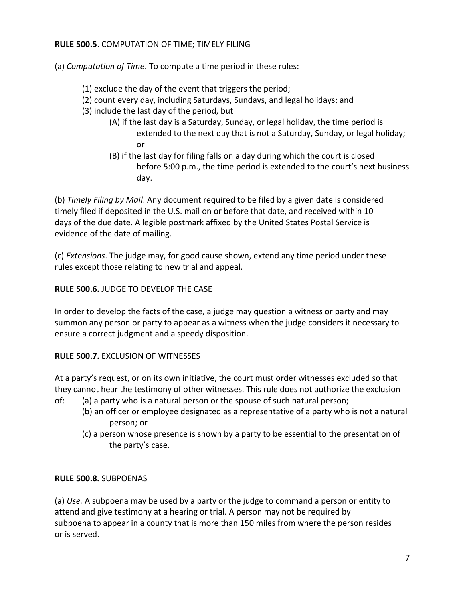#### RULE 500.5. COMPUTATION OF TIME; TIMELY FILING

(a) Computation of Time. To compute a time period in these rules:

- (1) exclude the day of the event that triggers the period;
- (2) count every day, including Saturdays, Sundays, and legal holidays; and
- (3) include the last day of the period, but
- (A) if the last day is a Saturday, Sunday, or legal holiday, the time period is extended to the next day that is not a Saturday, Sunday, or legal holiday; **or** and the state of  $\alpha$ 
	- (B) if the last day for filing falls on a day during which the court is closed before 5:00 p.m., the time period is extended to the court's next business day.

(b) Timely Filing by Mail. Any document required to be filed by a given date is considered timely filed if deposited in the U.S. mail on or before that date, and received within 10 days of the due date. A legible postmark affixed by the United States Postal Service is evidence of the date of mailing.

(c) Extensions. The judge may, for good cause shown, extend any time period under these rules except those relating to new trial and appeal.

RULE 500.6. JUDGE TO DEVELOP THE CASE

In order to develop the facts of the case, a judge may question a witness or party and may summon any person or party to appear as a witness when the judge considers it necessary to ensure a correct judgment and a speedy disposition.

## RULE 500.7. EXCLUSION OF WITNESSES

At a party's request, or on its own initiative, the court must order witnesses excluded so that they cannot hear the testimony of other witnesses. This rule does not authorize the exclusion

- of: (a) a party who is a natural person or the spouse of such natural person;
	- (b) an officer or employee designated as a representative of a party who is not a natural person; or
	- (c) a person whose presence is shown by a party to be essential to the presentation of the party's case.

#### RULE 500.8. SUBPOENAS

(a) Use. A subpoena may be used by a party or the judge to command a person or entity to attend and give testimony at a hearing or trial. A person may not be required by subpoena to appear in a county that is more than 150 miles from where the person resides or is served.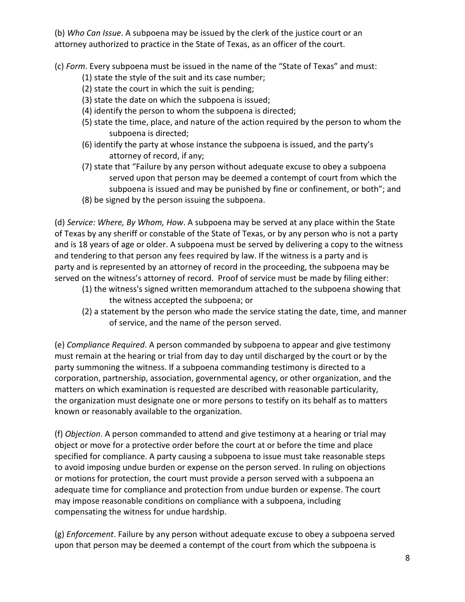(b) Who Can Issue. A subpoena may be issued by the clerk of the justice court or an attorney authorized to practice in the State of Texas, as an officer of the court.

(c) Form. Every subpoena must be issued in the name of the "State of Texas" and must:

- (1) state the style of the suit and its case number;
- (2) state the court in which the suit is pending;
- (3) state the date on which the subpoena is issued;
- (4) identify the person to whom the subpoena is directed;
- (5) state the time, place, and nature of the action required by the person to whom the subpoena is directed;
- (6) identify the party at whose instance the subpoena is issued, and the party's attorney of record, if any;
- (7) state that "Failure by any person without adequate excuse to obey a subpoena served upon that person may be deemed a contempt of court from which the subpoena is issued and may be punished by fine or confinement, or both"; and
- (8) be signed by the person issuing the subpoena.

(d) Service: Where, By Whom, How. A subpoena may be served at any place within the State of Texas by any sheriff or constable of the State of Texas, or by any person who is not a party and is 18 years of age or older. A subpoena must be served by delivering a copy to the witness and tendering to that person any fees required by law. If the witness is a party and is party and is represented by an attorney of record in the proceeding, the subpoena may be served on the witness's attorney of record. Proof of service must be made by filing either:

- (1) the witness's signed written memorandum attached to the subpoena showing that the witness accepted the subpoena; or
- (2) a statement by the person who made the service stating the date, time, and manner of service, and the name of the person served.

(e) Compliance Required. A person commanded by subpoena to appear and give testimony must remain at the hearing or trial from day to day until discharged by the court or by the party summoning the witness. If a subpoena commanding testimony is directed to a corporation, partnership, association, governmental agency, or other organization, and the matters on which examination is requested are described with reasonable particularity, the organization must designate one or more persons to testify on its behalf as to matters known or reasonably available to the organization.

(f) Objection. A person commanded to attend and give testimony at a hearing or trial may object or move for a protective order before the court at or before the time and place specified for compliance. A party causing a subpoena to issue must take reasonable steps to avoid imposing undue burden or expense on the person served. In ruling on objections or motions for protection, the court must provide a person served with a subpoena an adequate time for compliance and protection from undue burden or expense. The court may impose reasonable conditions on compliance with a subpoena, including compensating the witness for undue hardship.

(g) Enforcement. Failure by any person without adequate excuse to obey a subpoena served upon that person may be deemed a contempt of the court from which the subpoena is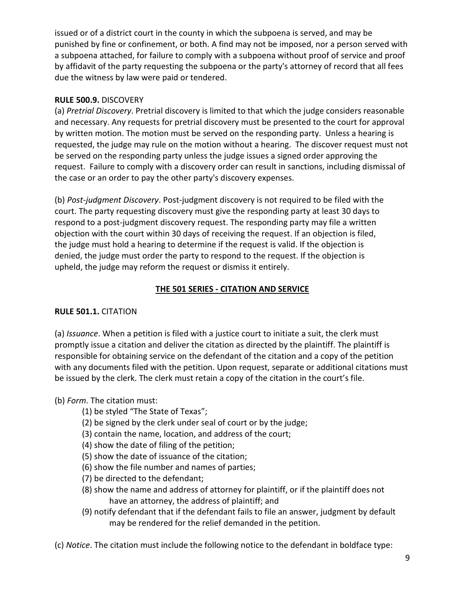issued or of a district court in the county in which the subpoena is served, and may be punished by fine or confinement, or both. A find may not be imposed, nor a person served with a subpoena attached, for failure to comply with a subpoena without proof of service and proof by affidavit of the party requesting the subpoena or the party's attorney of record that all fees due the witness by law were paid or tendered.

## RULE 500.9. DISCOVERY

(a) Pretrial Discovery. Pretrial discovery is limited to that which the judge considers reasonable and necessary. Any requests for pretrial discovery must be presented to the court for approval by written motion. The motion must be served on the responding party. Unless a hearing is requested, the judge may rule on the motion without a hearing. The discover request must not be served on the responding party unless the judge issues a signed order approving the request. Failure to comply with a discovery order can result in sanctions, including dismissal of the case or an order to pay the other party's discovery expenses.

(b) Post-judgment Discovery. Post-judgment discovery is not required to be filed with the court. The party requesting discovery must give the responding party at least 30 days to respond to a post-judgment discovery request. The responding party may file a written objection with the court within 30 days of receiving the request. If an objection is filed, the judge must hold a hearing to determine if the request is valid. If the objection is denied, the judge must order the party to respond to the request. If the objection is upheld, the judge may reform the request or dismiss it entirely.

## THE 501 SERIES - CITATION AND SERVICE

## RULE 501.1. CITATION

(a) Issuance. When a petition is filed with a justice court to initiate a suit, the clerk must promptly issue a citation and deliver the citation as directed by the plaintiff. The plaintiff is responsible for obtaining service on the defendant of the citation and a copy of the petition with any documents filed with the petition. Upon request, separate or additional citations must be issued by the clerk. The clerk must retain a copy of the citation in the court's file.

- (b) Form. The citation must:
	- (1) be styled "The State of Texas";
	- (2) be signed by the clerk under seal of court or by the judge;
	- (3) contain the name, location, and address of the court;
	- (4) show the date of filing of the petition;
	- (5) show the date of issuance of the citation;
	- (6) show the file number and names of parties;
	- (7) be directed to the defendant;
	- (8) show the name and address of attorney for plaintiff, or if the plaintiff does not have an attorney, the address of plaintiff; and
	- (9) notify defendant that if the defendant fails to file an answer, judgment by default may be rendered for the relief demanded in the petition.

(c) Notice. The citation must include the following notice to the defendant in boldface type: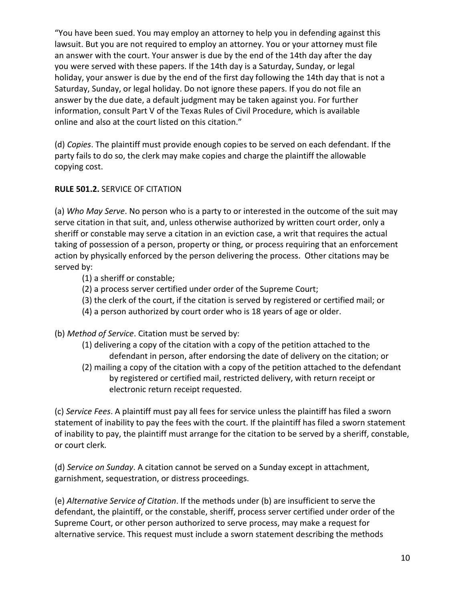"You have been sued. You may employ an attorney to help you in defending against this lawsuit. But you are not required to employ an attorney. You or your attorney must file an answer with the court. Your answer is due by the end of the 14th day after the day you were served with these papers. If the 14th day is a Saturday, Sunday, or legal holiday, your answer is due by the end of the first day following the 14th day that is not a Saturday, Sunday, or legal holiday. Do not ignore these papers. If you do not file an answer by the due date, a default judgment may be taken against you. For further information, consult Part V of the Texas Rules of Civil Procedure, which is available online and also at the court listed on this citation."

(d) Copies. The plaintiff must provide enough copies to be served on each defendant. If the party fails to do so, the clerk may make copies and charge the plaintiff the allowable copying cost.

## RULE 501.2. SERVICE OF CITATION

(a) Who May Serve. No person who is a party to or interested in the outcome of the suit may serve citation in that suit, and, unless otherwise authorized by written court order, only a sheriff or constable may serve a citation in an eviction case, a writ that requires the actual taking of possession of a person, property or thing, or process requiring that an enforcement action by physically enforced by the person delivering the process. Other citations may be served by:

- (1) a sheriff or constable;
- (2) a process server certified under order of the Supreme Court;
- (3) the clerk of the court, if the citation is served by registered or certified mail; or
- (4) a person authorized by court order who is 18 years of age or older.

(b) Method of Service. Citation must be served by:

- (1) delivering a copy of the citation with a copy of the petition attached to the defendant in person, after endorsing the date of delivery on the citation; or
- (2) mailing a copy of the citation with a copy of the petition attached to the defendant by registered or certified mail, restricted delivery, with return receipt or electronic return receipt requested.

(c) Service Fees. A plaintiff must pay all fees for service unless the plaintiff has filed a sworn statement of inability to pay the fees with the court. If the plaintiff has filed a sworn statement of inability to pay, the plaintiff must arrange for the citation to be served by a sheriff, constable, or court clerk.

(d) Service on Sunday. A citation cannot be served on a Sunday except in attachment, garnishment, sequestration, or distress proceedings.

(e) Alternative Service of Citation. If the methods under (b) are insufficient to serve the defendant, the plaintiff, or the constable, sheriff, process server certified under order of the Supreme Court, or other person authorized to serve process, may make a request for alternative service. This request must include a sworn statement describing the methods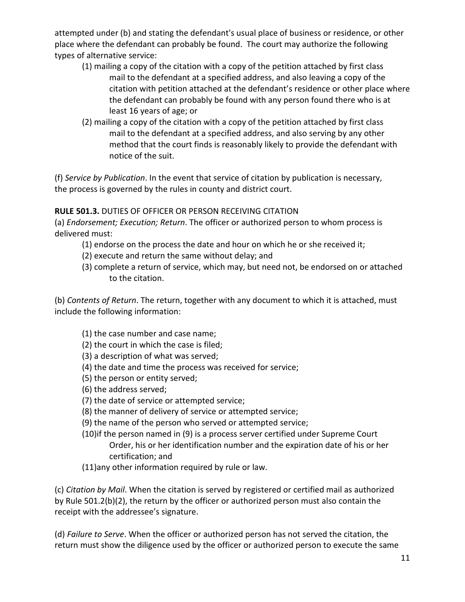attempted under (b) and stating the defendant's usual place of business or residence, or other place where the defendant can probably be found. The court may authorize the following types of alternative service:

- (1) mailing a copy of the citation with a copy of the petition attached by first class mail to the defendant at a specified address, and also leaving a copy of the citation with petition attached at the defendant's residence or other place where the defendant can probably be found with any person found there who is at least 16 years of age; or
- (2) mailing a copy of the citation with a copy of the petition attached by first class mail to the defendant at a specified address, and also serving by any other method that the court finds is reasonably likely to provide the defendant with notice of the suit.

(f) Service by Publication. In the event that service of citation by publication is necessary, the process is governed by the rules in county and district court.

## RULE 501.3. DUTIES OF OFFICER OR PERSON RECEIVING CITATION

(a) Endorsement; Execution; Return. The officer or authorized person to whom process is delivered must:

- (1) endorse on the process the date and hour on which he or she received it;
- (2) execute and return the same without delay; and
- (3) complete a return of service, which may, but need not, be endorsed on or attached to the citation.

(b) Contents of Return. The return, together with any document to which it is attached, must include the following information:

- (1) the case number and case name;
- (2) the court in which the case is filed;
- (3) a description of what was served;
- (4) the date and time the process was received for service;
- (5) the person or entity served;
- (6) the address served;
- (7) the date of service or attempted service;
- (8) the manner of delivery of service or attempted service;
- (9) the name of the person who served or attempted service;
- (10)if the person named in (9) is a process server certified under Supreme Court Order, his or her identification number and the expiration date of his or her certification; and
- (11)any other information required by rule or law.

(c) Citation by Mail. When the citation is served by registered or certified mail as authorized by Rule 501.2(b)(2), the return by the officer or authorized person must also contain the receipt with the addressee's signature.

(d) Failure to Serve. When the officer or authorized person has not served the citation, the return must show the diligence used by the officer or authorized person to execute the same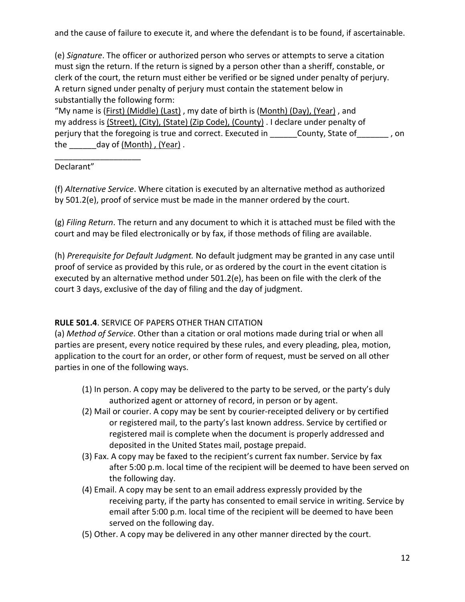and the cause of failure to execute it, and where the defendant is to be found, if ascertainable.

(e) Signature. The officer or authorized person who serves or attempts to serve a citation must sign the return. If the return is signed by a person other than a sheriff, constable, or clerk of the court, the return must either be verified or be signed under penalty of perjury. A return signed under penalty of perjury must contain the statement below in substantially the following form:

"My name is (First) (Middle) (Last), my date of birth is (Month) (Day), (Year), and my address is (Street), (City), (State) (Zip Code), (County) . I declare under penalty of perjury that the foregoing is true and correct. Executed in \_\_\_\_\_\_County, State of\_\_\_\_\_\_\_, on the \_\_\_\_\_\_day of (Month) , (Year) .

## Declarant"

\_\_\_\_\_\_\_\_\_\_\_\_\_\_\_\_\_\_\_

(f) Alternative Service. Where citation is executed by an alternative method as authorized by 501.2(e), proof of service must be made in the manner ordered by the court.

(g) Filing Return. The return and any document to which it is attached must be filed with the court and may be filed electronically or by fax, if those methods of filing are available.

(h) Prerequisite for Default Judgment. No default judgment may be granted in any case until proof of service as provided by this rule, or as ordered by the court in the event citation is executed by an alternative method under 501.2(e), has been on file with the clerk of the court 3 days, exclusive of the day of filing and the day of judgment.

## RULE 501.4. SERVICE OF PAPERS OTHER THAN CITATION

(a) Method of Service. Other than a citation or oral motions made during trial or when all parties are present, every notice required by these rules, and every pleading, plea, motion, application to the court for an order, or other form of request, must be served on all other parties in one of the following ways.

- (1) In person. A copy may be delivered to the party to be served, or the party's duly authorized agent or attorney of record, in person or by agent.
- (2) Mail or courier. A copy may be sent by courier-receipted delivery or by certified or registered mail, to the party's last known address. Service by certified or registered mail is complete when the document is properly addressed and deposited in the United States mail, postage prepaid.
- (3) Fax. A copy may be faxed to the recipient's current fax number. Service by fax after 5:00 p.m. local time of the recipient will be deemed to have been served on the following day.
- (4) Email. A copy may be sent to an email address expressly provided by the receiving party, if the party has consented to email service in writing. Service by email after 5:00 p.m. local time of the recipient will be deemed to have been served on the following day.
- (5) Other. A copy may be delivered in any other manner directed by the court.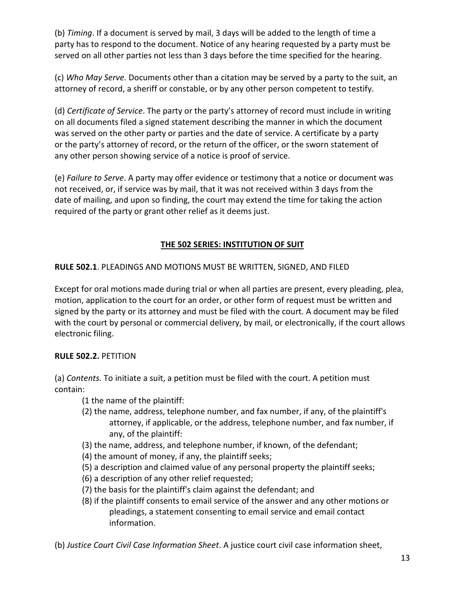(b) Timing. If a document is served by mail, 3 days will be added to the length of time a party has to respond to the document. Notice of any hearing requested by a party must be served on all other parties not less than 3 days before the time specified for the hearing.

(c) Who May Serve. Documents other than a citation may be served by a party to the suit, an attorney of record, a sheriff or constable, or by any other person competent to testify.

(d) Certificate of Service. The party or the party's attorney of record must include in writing on all documents filed a signed statement describing the manner in which the document was served on the other party or parties and the date of service. A certificate by a party or the party's attorney of record, or the return of the officer, or the sworn statement of any other person showing service of a notice is proof of service.

(e) Failure to Serve. A party may offer evidence or testimony that a notice or document was not received, or, if service was by mail, that it was not received within 3 days from the date of mailing, and upon so finding, the court may extend the time for taking the action required of the party or grant other relief as it deems just.

## THE 502 SERIES: INSTITUTION OF SUIT

## RULE 502.1. PLEADINGS AND MOTIONS MUST BE WRITTEN, SIGNED, AND FILED

Except for oral motions made during trial or when all parties are present, every pleading, plea, motion, application to the court for an order, or other form of request must be written and signed by the party or its attorney and must be filed with the court. A document may be filed with the court by personal or commercial delivery, by mail, or electronically, if the court allows electronic filing.

## RULE 502.2. PETITION

(a) Contents. To initiate a suit, a petition must be filed with the court. A petition must contain:

- (1 the name of the plaintiff:
- (2) the name, address, telephone number, and fax number, if any, of the plaintiff's attorney, if applicable, or the address, telephone number, and fax number, if any, of the plaintiff:
- (3) the name, address, and telephone number, if known, of the defendant;
- (4) the amount of money, if any, the plaintiff seeks;
- (5) a description and claimed value of any personal property the plaintiff seeks;
- (6) a description of any other relief requested;
- (7) the basis for the plaintiff's claim against the defendant; and
- (8) if the plaintiff consents to email service of the answer and any other motions or pleadings, a statement consenting to email service and email contact information.

(b) Justice Court Civil Case Information Sheet. A justice court civil case information sheet,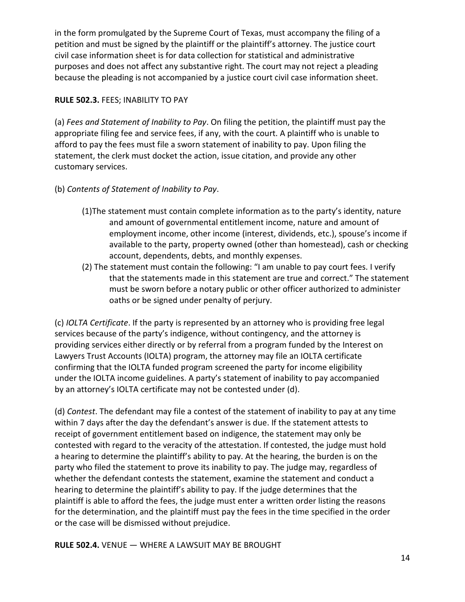in the form promulgated by the Supreme Court of Texas, must accompany the filing of a petition and must be signed by the plaintiff or the plaintiff's attorney. The justice court civil case information sheet is for data collection for statistical and administrative purposes and does not affect any substantive right. The court may not reject a pleading because the pleading is not accompanied by a justice court civil case information sheet.

## RULE 502.3. FEES; INABILITY TO PAY

(a) Fees and Statement of Inability to Pay. On filing the petition, the plaintiff must pay the appropriate filing fee and service fees, if any, with the court. A plaintiff who is unable to afford to pay the fees must file a sworn statement of inability to pay. Upon filing the statement, the clerk must docket the action, issue citation, and provide any other customary services.

## (b) Contents of Statement of Inability to Pay.

- (1)The statement must contain complete information as to the party's identity, nature and amount of governmental entitlement income, nature and amount of employment income, other income (interest, dividends, etc.), spouse's income if available to the party, property owned (other than homestead), cash or checking account, dependents, debts, and monthly expenses.
- (2) The statement must contain the following: "I am unable to pay court fees. I verify that the statements made in this statement are true and correct." The statement must be sworn before a notary public or other officer authorized to administer oaths or be signed under penalty of perjury.

(c) IOLTA Certificate. If the party is represented by an attorney who is providing free legal services because of the party's indigence, without contingency, and the attorney is providing services either directly or by referral from a program funded by the Interest on Lawyers Trust Accounts (IOLTA) program, the attorney may file an IOLTA certificate confirming that the IOLTA funded program screened the party for income eligibility under the IOLTA income guidelines. A party's statement of inability to pay accompanied by an attorney's IOLTA certificate may not be contested under (d).

(d) Contest. The defendant may file a contest of the statement of inability to pay at any time within 7 days after the day the defendant's answer is due. If the statement attests to receipt of government entitlement based on indigence, the statement may only be contested with regard to the veracity of the attestation. If contested, the judge must hold a hearing to determine the plaintiff's ability to pay. At the hearing, the burden is on the party who filed the statement to prove its inability to pay. The judge may, regardless of whether the defendant contests the statement, examine the statement and conduct a hearing to determine the plaintiff's ability to pay. If the judge determines that the plaintiff is able to afford the fees, the judge must enter a written order listing the reasons for the determination, and the plaintiff must pay the fees in the time specified in the order or the case will be dismissed without prejudice.

RULE 502.4. VENUE — WHERE A LAWSUIT MAY BE BROUGHT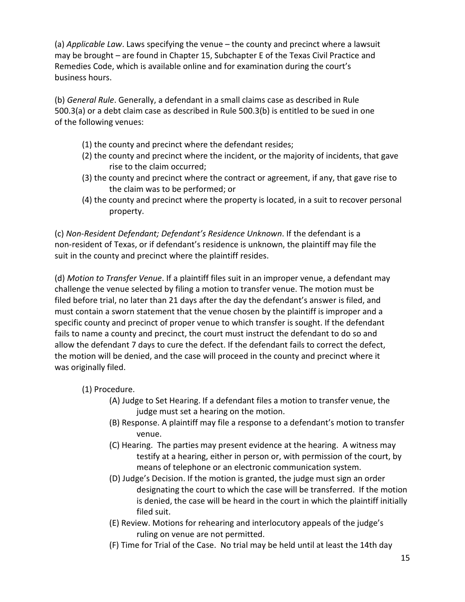(a) Applicable Law. Laws specifying the venue – the county and precinct where a lawsuit may be brought – are found in Chapter 15, Subchapter E of the Texas Civil Practice and Remedies Code, which is available online and for examination during the court's business hours.

(b) General Rule. Generally, a defendant in a small claims case as described in Rule 500.3(a) or a debt claim case as described in Rule 500.3(b) is entitled to be sued in one of the following venues:

- (1) the county and precinct where the defendant resides;
- (2) the county and precinct where the incident, or the majority of incidents, that gave rise to the claim occurred;
- (3) the county and precinct where the contract or agreement, if any, that gave rise to the claim was to be performed; or
- (4) the county and precinct where the property is located, in a suit to recover personal property.

(c) Non-Resident Defendant; Defendant's Residence Unknown. If the defendant is a non-resident of Texas, or if defendant's residence is unknown, the plaintiff may file the suit in the county and precinct where the plaintiff resides.

(d) Motion to Transfer Venue. If a plaintiff files suit in an improper venue, a defendant may challenge the venue selected by filing a motion to transfer venue. The motion must be filed before trial, no later than 21 days after the day the defendant's answer is filed, and must contain a sworn statement that the venue chosen by the plaintiff is improper and a specific county and precinct of proper venue to which transfer is sought. If the defendant fails to name a county and precinct, the court must instruct the defendant to do so and allow the defendant 7 days to cure the defect. If the defendant fails to correct the defect, the motion will be denied, and the case will proceed in the county and precinct where it was originally filed.

## (1) Procedure.

- (A) Judge to Set Hearing. If a defendant files a motion to transfer venue, the judge must set a hearing on the motion.
- (B) Response. A plaintiff may file a response to a defendant's motion to transfer venue.
- (C) Hearing. The parties may present evidence at the hearing. A witness may testify at a hearing, either in person or, with permission of the court, by means of telephone or an electronic communication system.
- (D) Judge's Decision. If the motion is granted, the judge must sign an order designating the court to which the case will be transferred. If the motion is denied, the case will be heard in the court in which the plaintiff initially filed suit.
- (E) Review. Motions for rehearing and interlocutory appeals of the judge's ruling on venue are not permitted.
- (F) Time for Trial of the Case. No trial may be held until at least the 14th day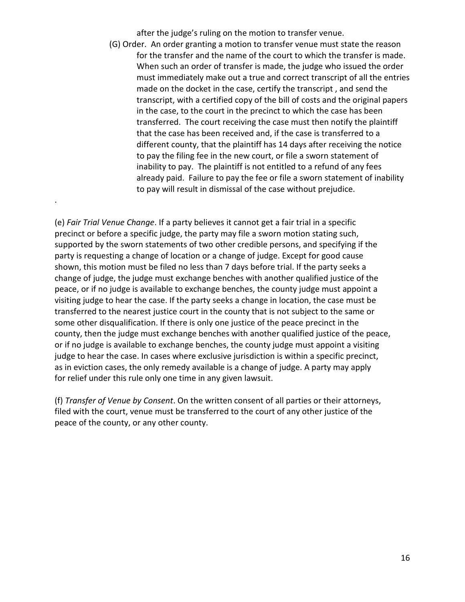after the judge's ruling on the motion to transfer venue.

 (G) Order. An order granting a motion to transfer venue must state the reason for the transfer and the name of the court to which the transfer is made. When such an order of transfer is made, the judge who issued the order must immediately make out a true and correct transcript of all the entries made on the docket in the case, certify the transcript , and send the transcript, with a certified copy of the bill of costs and the original papers in the case, to the court in the precinct to which the case has been transferred. The court receiving the case must then notify the plaintiff that the case has been received and, if the case is transferred to a different county, that the plaintiff has 14 days after receiving the notice to pay the filing fee in the new court, or file a sworn statement of inability to pay. The plaintiff is not entitled to a refund of any fees already paid. Failure to pay the fee or file a sworn statement of inability to pay will result in dismissal of the case without prejudice.

(e) Fair Trial Venue Change. If a party believes it cannot get a fair trial in a specific precinct or before a specific judge, the party may file a sworn motion stating such, supported by the sworn statements of two other credible persons, and specifying if the party is requesting a change of location or a change of judge. Except for good cause shown, this motion must be filed no less than 7 days before trial. If the party seeks a change of judge, the judge must exchange benches with another qualified justice of the peace, or if no judge is available to exchange benches, the county judge must appoint a visiting judge to hear the case. If the party seeks a change in location, the case must be transferred to the nearest justice court in the county that is not subject to the same or some other disqualification. If there is only one justice of the peace precinct in the county, then the judge must exchange benches with another qualified justice of the peace, or if no judge is available to exchange benches, the county judge must appoint a visiting judge to hear the case. In cases where exclusive jurisdiction is within a specific precinct, as in eviction cases, the only remedy available is a change of judge. A party may apply for relief under this rule only one time in any given lawsuit.

.

(f) Transfer of Venue by Consent. On the written consent of all parties or their attorneys, filed with the court, venue must be transferred to the court of any other justice of the peace of the county, or any other county.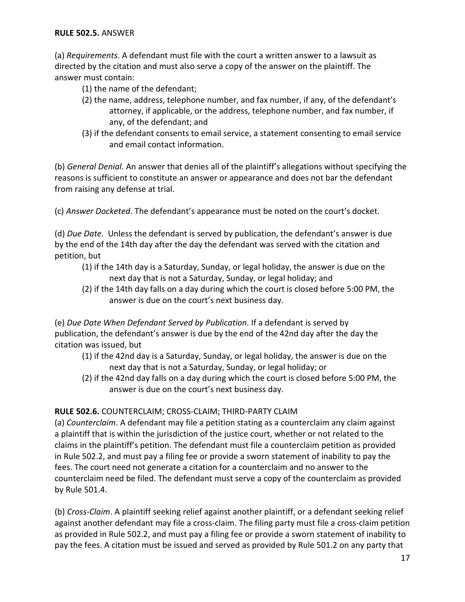#### RULE 502.5. ANSWER

(a) Requirements. A defendant must file with the court a written answer to a lawsuit as directed by the citation and must also serve a copy of the answer on the plaintiff. The answer must contain:

- (1) the name of the defendant;
- (2) the name, address, telephone number, and fax number, if any, of the defendant's attorney, if applicable, or the address, telephone number, and fax number, if any, of the defendant; and
- (3) if the defendant consents to email service, a statement consenting to email service and email contact information.

(b) General Denial. An answer that denies all of the plaintiff's allegations without specifying the reasons is sufficient to constitute an answer or appearance and does not bar the defendant from raising any defense at trial.

(c) Answer Docketed. The defendant's appearance must be noted on the court's docket.

(d) Due Date. Unless the defendant is served by publication, the defendant's answer is due by the end of the 14th day after the day the defendant was served with the citation and petition, but

- (1) if the 14th day is a Saturday, Sunday, or legal holiday, the answer is due on the next day that is not a Saturday, Sunday, or legal holiday; and
- (2) if the 14th day falls on a day during which the court is closed before 5:00 PM, the answer is due on the court's next business day.

(e) Due Date When Defendant Served by Publication. If a defendant is served by publication, the defendant's answer is due by the end of the 42nd day after the day the citation was issued, but

- (1) if the 42nd day is a Saturday, Sunday, or legal holiday, the answer is due on the next day that is not a Saturday, Sunday, or legal holiday; or
- (2) if the 42nd day falls on a day during which the court is closed before 5:00 PM, the answer is due on the court's next business day.

## RULE 502.6. COUNTERCLAIM; CROSS-CLAIM; THIRD-PARTY CLAIM

(a) Counterclaim. A defendant may file a petition stating as a counterclaim any claim against a plaintiff that is within the jurisdiction of the justice court, whether or not related to the claims in the plaintiff's petition. The defendant must file a counterclaim petition as provided in Rule 502.2, and must pay a filing fee or provide a sworn statement of inability to pay the fees. The court need not generate a citation for a counterclaim and no answer to the counterclaim need be filed. The defendant must serve a copy of the counterclaim as provided by Rule 501.4.

(b) Cross-Claim. A plaintiff seeking relief against another plaintiff, or a defendant seeking relief against another defendant may file a cross-claim. The filing party must file a cross-claim petition as provided in Rule 502.2, and must pay a filing fee or provide a sworn statement of inability to pay the fees. A citation must be issued and served as provided by Rule 501.2 on any party that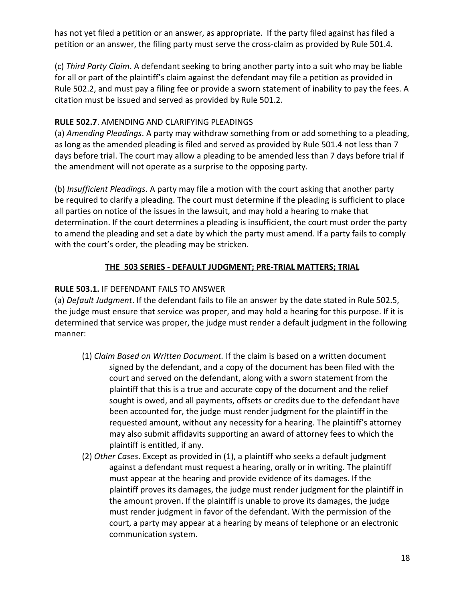has not yet filed a petition or an answer, as appropriate. If the party filed against has filed a petition or an answer, the filing party must serve the cross-claim as provided by Rule 501.4.

(c) Third Party Claim. A defendant seeking to bring another party into a suit who may be liable for all or part of the plaintiff's claim against the defendant may file a petition as provided in Rule 502.2, and must pay a filing fee or provide a sworn statement of inability to pay the fees. A citation must be issued and served as provided by Rule 501.2.

## RULE 502.7. AMENDING AND CLARIFYING PLEADINGS

(a) Amending Pleadings. A party may withdraw something from or add something to a pleading, as long as the amended pleading is filed and served as provided by Rule 501.4 not less than 7 days before trial. The court may allow a pleading to be amended less than 7 days before trial if the amendment will not operate as a surprise to the opposing party.

(b) Insufficient Pleadings. A party may file a motion with the court asking that another party be required to clarify a pleading. The court must determine if the pleading is sufficient to place all parties on notice of the issues in the lawsuit, and may hold a hearing to make that determination. If the court determines a pleading is insufficient, the court must order the party to amend the pleading and set a date by which the party must amend. If a party fails to comply with the court's order, the pleading may be stricken.

## THE 503 SERIES - DEFAULT JUDGMENT; PRE-TRIAL MATTERS; TRIAL

## RULE 503.1. IF DEFENDANT FAILS TO ANSWER

(a) Default Judgment. If the defendant fails to file an answer by the date stated in Rule 502.5, the judge must ensure that service was proper, and may hold a hearing for this purpose. If it is determined that service was proper, the judge must render a default judgment in the following manner:

- (1) Claim Based on Written Document. If the claim is based on a written document signed by the defendant, and a copy of the document has been filed with the court and served on the defendant, along with a sworn statement from the plaintiff that this is a true and accurate copy of the document and the relief sought is owed, and all payments, offsets or credits due to the defendant have been accounted for, the judge must render judgment for the plaintiff in the requested amount, without any necessity for a hearing. The plaintiff's attorney may also submit affidavits supporting an award of attorney fees to which the plaintiff is entitled, if any.
- (2) Other Cases. Except as provided in (1), a plaintiff who seeks a default judgment against a defendant must request a hearing, orally or in writing. The plaintiff must appear at the hearing and provide evidence of its damages. If the plaintiff proves its damages, the judge must render judgment for the plaintiff in the amount proven. If the plaintiff is unable to prove its damages, the judge must render judgment in favor of the defendant. With the permission of the court, a party may appear at a hearing by means of telephone or an electronic communication system.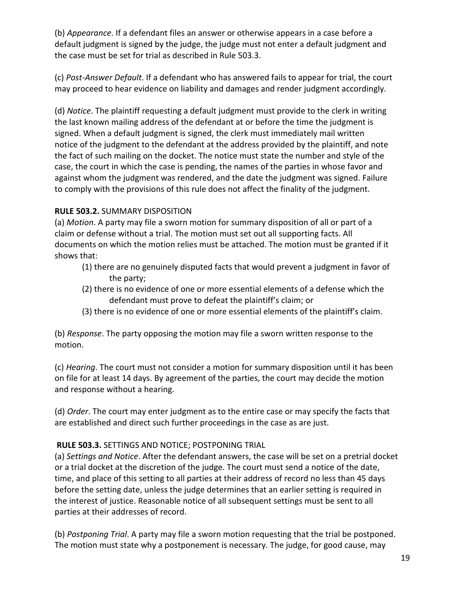(b) Appearance. If a defendant files an answer or otherwise appears in a case before a default judgment is signed by the judge, the judge must not enter a default judgment and the case must be set for trial as described in Rule 503.3.

(c) Post-Answer Default. If a defendant who has answered fails to appear for trial, the court may proceed to hear evidence on liability and damages and render judgment accordingly.

(d) Notice. The plaintiff requesting a default judgment must provide to the clerk in writing the last known mailing address of the defendant at or before the time the judgment is signed. When a default judgment is signed, the clerk must immediately mail written notice of the judgment to the defendant at the address provided by the plaintiff, and note the fact of such mailing on the docket. The notice must state the number and style of the case, the court in which the case is pending, the names of the parties in whose favor and against whom the judgment was rendered, and the date the judgment was signed. Failure to comply with the provisions of this rule does not affect the finality of the judgment.

## RULE 503.2. SUMMARY DISPOSITION

(a) Motion. A party may file a sworn motion for summary disposition of all or part of a claim or defense without a trial. The motion must set out all supporting facts. All documents on which the motion relies must be attached. The motion must be granted if it shows that:

- (1) there are no genuinely disputed facts that would prevent a judgment in favor of the party;
- (2) there is no evidence of one or more essential elements of a defense which the defendant must prove to defeat the plaintiff's claim; or
- (3) there is no evidence of one or more essential elements of the plaintiff's claim.

(b) Response. The party opposing the motion may file a sworn written response to the motion.

(c) Hearing. The court must not consider a motion for summary disposition until it has been on file for at least 14 days. By agreement of the parties, the court may decide the motion and response without a hearing.

(d) Order. The court may enter judgment as to the entire case or may specify the facts that are established and direct such further proceedings in the case as are just.

## RULE 503.3. SETTINGS AND NOTICE; POSTPONING TRIAL

(a) Settings and Notice. After the defendant answers, the case will be set on a pretrial docket or a trial docket at the discretion of the judge. The court must send a notice of the date, time, and place of this setting to all parties at their address of record no less than 45 days before the setting date, unless the judge determines that an earlier setting is required in the interest of justice. Reasonable notice of all subsequent settings must be sent to all parties at their addresses of record.

(b) Postponing Trial. A party may file a sworn motion requesting that the trial be postponed. The motion must state why a postponement is necessary. The judge, for good cause, may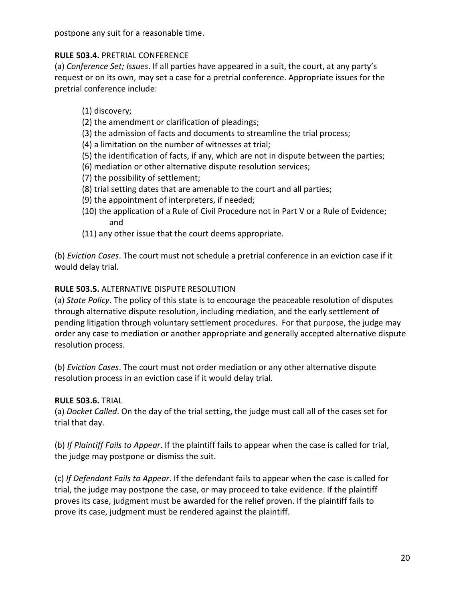postpone any suit for a reasonable time.

## RULE 503.4. PRETRIAL CONFERENCE

(a) Conference Set; Issues. If all parties have appeared in a suit, the court, at any party's request or on its own, may set a case for a pretrial conference. Appropriate issues for the pretrial conference include:

(1) discovery;

- (2) the amendment or clarification of pleadings;
- (3) the admission of facts and documents to streamline the trial process;
- (4) a limitation on the number of witnesses at trial;
- (5) the identification of facts, if any, which are not in dispute between the parties;
- (6) mediation or other alternative dispute resolution services;
- (7) the possibility of settlement;
- (8) trial setting dates that are amenable to the court and all parties;
- (9) the appointment of interpreters, if needed;
- (10) the application of a Rule of Civil Procedure not in Part V or a Rule of Evidence; and
- (11) any other issue that the court deems appropriate.

(b) Eviction Cases. The court must not schedule a pretrial conference in an eviction case if it would delay trial.

## RULE 503.5. ALTERNATIVE DISPUTE RESOLUTION

(a) State Policy. The policy of this state is to encourage the peaceable resolution of disputes through alternative dispute resolution, including mediation, and the early settlement of pending litigation through voluntary settlement procedures. For that purpose, the judge may order any case to mediation or another appropriate and generally accepted alternative dispute resolution process.

(b) Eviction Cases. The court must not order mediation or any other alternative dispute resolution process in an eviction case if it would delay trial.

## RULE 503.6. TRIAL

(a) Docket Called. On the day of the trial setting, the judge must call all of the cases set for trial that day.

(b) If Plaintiff Fails to Appear. If the plaintiff fails to appear when the case is called for trial, the judge may postpone or dismiss the suit.

(c) If Defendant Fails to Appear. If the defendant fails to appear when the case is called for trial, the judge may postpone the case, or may proceed to take evidence. If the plaintiff proves its case, judgment must be awarded for the relief proven. If the plaintiff fails to prove its case, judgment must be rendered against the plaintiff.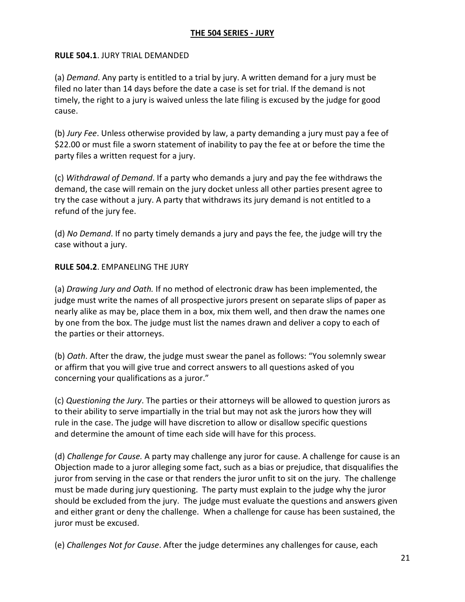## THE 504 SERIES - JURY

#### RULE 504.1. JURY TRIAL DEMANDED

(a) Demand. Any party is entitled to a trial by jury. A written demand for a jury must be filed no later than 14 days before the date a case is set for trial. If the demand is not timely, the right to a jury is waived unless the late filing is excused by the judge for good cause.

(b) Jury Fee. Unless otherwise provided by law, a party demanding a jury must pay a fee of \$22.00 or must file a sworn statement of inability to pay the fee at or before the time the party files a written request for a jury.

(c) Withdrawal of Demand. If a party who demands a jury and pay the fee withdraws the demand, the case will remain on the jury docket unless all other parties present agree to try the case without a jury. A party that withdraws its jury demand is not entitled to a refund of the jury fee.

(d) No Demand. If no party timely demands a jury and pays the fee, the judge will try the case without a jury.

#### RULE 504.2. EMPANELING THE JURY

(a) Drawing Jury and Oath. If no method of electronic draw has been implemented, the judge must write the names of all prospective jurors present on separate slips of paper as nearly alike as may be, place them in a box, mix them well, and then draw the names one by one from the box. The judge must list the names drawn and deliver a copy to each of the parties or their attorneys.

(b) Oath. After the draw, the judge must swear the panel as follows: "You solemnly swear or affirm that you will give true and correct answers to all questions asked of you concerning your qualifications as a juror."

(c) Questioning the Jury. The parties or their attorneys will be allowed to question jurors as to their ability to serve impartially in the trial but may not ask the jurors how they will rule in the case. The judge will have discretion to allow or disallow specific questions and determine the amount of time each side will have for this process.

(d) Challenge for Cause. A party may challenge any juror for cause. A challenge for cause is an Objection made to a juror alleging some fact, such as a bias or prejudice, that disqualifies the juror from serving in the case or that renders the juror unfit to sit on the jury. The challenge must be made during jury questioning. The party must explain to the judge why the juror should be excluded from the jury. The judge must evaluate the questions and answers given and either grant or deny the challenge. When a challenge for cause has been sustained, the juror must be excused.

(e) Challenges Not for Cause. After the judge determines any challenges for cause, each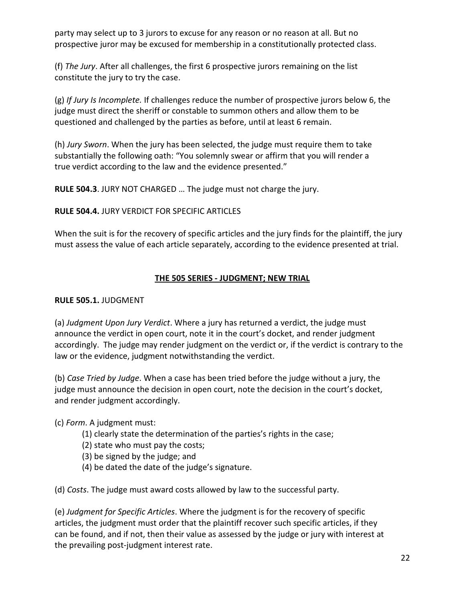party may select up to 3 jurors to excuse for any reason or no reason at all. But no prospective juror may be excused for membership in a constitutionally protected class.

(f) The Jury. After all challenges, the first 6 prospective jurors remaining on the list constitute the jury to try the case.

(g) If Jury Is Incomplete. If challenges reduce the number of prospective jurors below 6, the judge must direct the sheriff or constable to summon others and allow them to be questioned and challenged by the parties as before, until at least 6 remain.

(h) Jury Sworn. When the jury has been selected, the judge must require them to take substantially the following oath: "You solemnly swear or affirm that you will render a true verdict according to the law and the evidence presented."

RULE 504.3. JURY NOT CHARGED … The judge must not charge the jury.

#### RULE 504.4. JURY VERDICT FOR SPECIFIC ARTICLES

When the suit is for the recovery of specific articles and the jury finds for the plaintiff, the jury must assess the value of each article separately, according to the evidence presented at trial.

#### THE 505 SERIES - JUDGMENT; NEW TRIAL

#### RULE 505.1. JUDGMENT

(a) Judgment Upon Jury Verdict. Where a jury has returned a verdict, the judge must announce the verdict in open court, note it in the court's docket, and render judgment accordingly. The judge may render judgment on the verdict or, if the verdict is contrary to the law or the evidence, judgment notwithstanding the verdict.

(b) Case Tried by Judge. When a case has been tried before the judge without a jury, the judge must announce the decision in open court, note the decision in the court's docket, and render judgment accordingly.

## (c) Form. A judgment must:

- (1) clearly state the determination of the parties's rights in the case;
- (2) state who must pay the costs;
- (3) be signed by the judge; and
- (4) be dated the date of the judge's signature.

(d) Costs. The judge must award costs allowed by law to the successful party.

(e) Judgment for Specific Articles. Where the judgment is for the recovery of specific articles, the judgment must order that the plaintiff recover such specific articles, if they can be found, and if not, then their value as assessed by the judge or jury with interest at the prevailing post-judgment interest rate.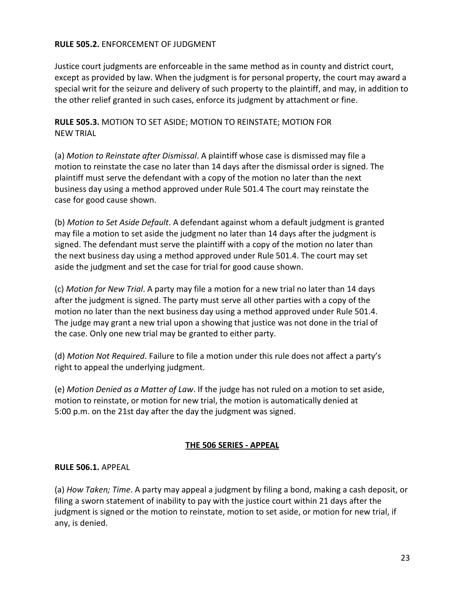#### RULE 505.2. ENFORCEMENT OF JUDGMENT

Justice court judgments are enforceable in the same method as in county and district court, except as provided by law. When the judgment is for personal property, the court may award a special writ for the seizure and delivery of such property to the plaintiff, and may, in addition to the other relief granted in such cases, enforce its judgment by attachment or fine.

#### RULE 505.3. MOTION TO SET ASIDE; MOTION TO REINSTATE; MOTION FOR NEW TRIAL

(a) Motion to Reinstate after Dismissal. A plaintiff whose case is dismissed may file a motion to reinstate the case no later than 14 days after the dismissal order is signed. The plaintiff must serve the defendant with a copy of the motion no later than the next business day using a method approved under Rule 501.4 The court may reinstate the case for good cause shown.

(b) Motion to Set Aside Default. A defendant against whom a default judgment is granted may file a motion to set aside the judgment no later than 14 days after the judgment is signed. The defendant must serve the plaintiff with a copy of the motion no later than the next business day using a method approved under Rule 501.4. The court may set aside the judgment and set the case for trial for good cause shown.

(c) Motion for New Trial. A party may file a motion for a new trial no later than 14 days after the judgment is signed. The party must serve all other parties with a copy of the motion no later than the next business day using a method approved under Rule 501.4. The judge may grant a new trial upon a showing that justice was not done in the trial of the case. Only one new trial may be granted to either party.

(d) Motion Not Required. Failure to file a motion under this rule does not affect a party's right to appeal the underlying judgment.

(e) Motion Denied as a Matter of Law. If the judge has not ruled on a motion to set aside, motion to reinstate, or motion for new trial, the motion is automatically denied at 5:00 p.m. on the 21st day after the day the judgment was signed.

## THE 506 SERIES - APPEAL

#### RULE 506.1. APPEAL

(a) How Taken; Time. A party may appeal a judgment by filing a bond, making a cash deposit, or filing a sworn statement of inability to pay with the justice court within 21 days after the judgment is signed or the motion to reinstate, motion to set aside, or motion for new trial, if any, is denied.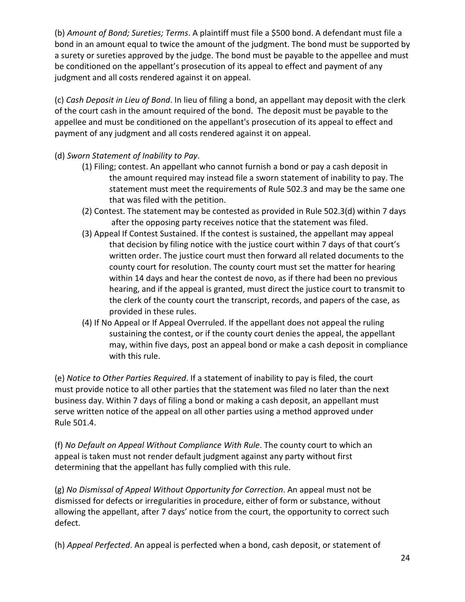(b) Amount of Bond; Sureties; Terms. A plaintiff must file a \$500 bond. A defendant must file a bond in an amount equal to twice the amount of the judgment. The bond must be supported by a surety or sureties approved by the judge. The bond must be payable to the appellee and must be conditioned on the appellant's prosecution of its appeal to effect and payment of any judgment and all costs rendered against it on appeal.

(c) Cash Deposit in Lieu of Bond. In lieu of filing a bond, an appellant may deposit with the clerk of the court cash in the amount required of the bond. The deposit must be payable to the appellee and must be conditioned on the appellant's prosecution of its appeal to effect and payment of any judgment and all costs rendered against it on appeal.

(d) Sworn Statement of Inability to Pay.

- (1) Filing; contest. An appellant who cannot furnish a bond or pay a cash deposit in the amount required may instead file a sworn statement of inability to pay. The statement must meet the requirements of Rule 502.3 and may be the same one that was filed with the petition.
- (2) Contest. The statement may be contested as provided in Rule 502.3(d) within 7 days after the opposing party receives notice that the statement was filed.
- (3) Appeal If Contest Sustained. If the contest is sustained, the appellant may appeal that decision by filing notice with the justice court within 7 days of that court's written order. The justice court must then forward all related documents to the county court for resolution. The county court must set the matter for hearing within 14 days and hear the contest de novo, as if there had been no previous hearing, and if the appeal is granted, must direct the justice court to transmit to the clerk of the county court the transcript, records, and papers of the case, as provided in these rules.
- (4) If No Appeal or If Appeal Overruled. If the appellant does not appeal the ruling sustaining the contest, or if the county court denies the appeal, the appellant may, within five days, post an appeal bond or make a cash deposit in compliance with this rule.

(e) Notice to Other Parties Required. If a statement of inability to pay is filed, the court must provide notice to all other parties that the statement was filed no later than the next business day. Within 7 days of filing a bond or making a cash deposit, an appellant must serve written notice of the appeal on all other parties using a method approved under Rule 501.4.

(f) No Default on Appeal Without Compliance With Rule. The county court to which an appeal is taken must not render default judgment against any party without first determining that the appellant has fully complied with this rule.

(g) No Dismissal of Appeal Without Opportunity for Correction. An appeal must not be dismissed for defects or irregularities in procedure, either of form or substance, without allowing the appellant, after 7 days' notice from the court, the opportunity to correct such defect.

(h) Appeal Perfected. An appeal is perfected when a bond, cash deposit, or statement of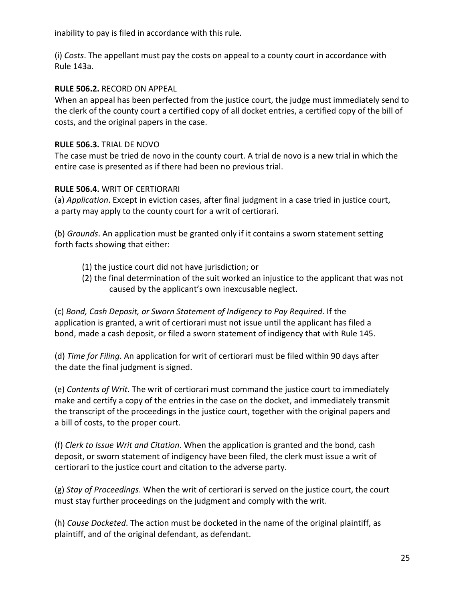inability to pay is filed in accordance with this rule.

(i) Costs. The appellant must pay the costs on appeal to a county court in accordance with Rule 143a.

#### RULE 506.2. RECORD ON APPEAL

When an appeal has been perfected from the justice court, the judge must immediately send to the clerk of the county court a certified copy of all docket entries, a certified copy of the bill of costs, and the original papers in the case.

#### RULE 506.3. TRIAL DE NOVO

The case must be tried de novo in the county court. A trial de novo is a new trial in which the entire case is presented as if there had been no previous trial.

#### RULE 506.4. WRIT OF CERTIORARI

(a) Application. Except in eviction cases, after final judgment in a case tried in justice court, a party may apply to the county court for a writ of certiorari.

(b) Grounds. An application must be granted only if it contains a sworn statement setting forth facts showing that either:

- (1) the justice court did not have jurisdiction; or
- (2) the final determination of the suit worked an injustice to the applicant that was not caused by the applicant's own inexcusable neglect.

(c) Bond, Cash Deposit, or Sworn Statement of Indigency to Pay Required. If the application is granted, a writ of certiorari must not issue until the applicant has filed a bond, made a cash deposit, or filed a sworn statement of indigency that with Rule 145.

(d) Time for Filing. An application for writ of certiorari must be filed within 90 days after the date the final judgment is signed.

(e) Contents of Writ. The writ of certiorari must command the justice court to immediately make and certify a copy of the entries in the case on the docket, and immediately transmit the transcript of the proceedings in the justice court, together with the original papers and a bill of costs, to the proper court.

(f) Clerk to Issue Writ and Citation. When the application is granted and the bond, cash deposit, or sworn statement of indigency have been filed, the clerk must issue a writ of certiorari to the justice court and citation to the adverse party.

 $(g)$  Stay of Proceedings. When the writ of certiorari is served on the justice court, the court must stay further proceedings on the judgment and comply with the writ.

(h) Cause Docketed. The action must be docketed in the name of the original plaintiff, as plaintiff, and of the original defendant, as defendant.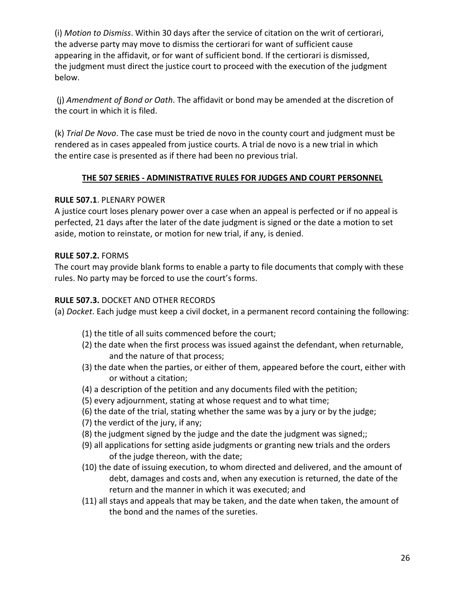(i) Motion to Dismiss. Within 30 days after the service of citation on the writ of certiorari, the adverse party may move to dismiss the certiorari for want of sufficient cause appearing in the affidavit, or for want of sufficient bond. If the certiorari is dismissed, the judgment must direct the justice court to proceed with the execution of the judgment below.

 (j) Amendment of Bond or Oath. The affidavit or bond may be amended at the discretion of the court in which it is filed.

(k) Trial De Novo. The case must be tried de novo in the county court and judgment must be rendered as in cases appealed from justice courts. A trial de novo is a new trial in which the entire case is presented as if there had been no previous trial.

## THE 507 SERIES - ADMINISTRATIVE RULES FOR JUDGES AND COURT PERSONNEL

## RULE 507.1. PLENARY POWER

A justice court loses plenary power over a case when an appeal is perfected or if no appeal is perfected, 21 days after the later of the date judgment is signed or the date a motion to set aside, motion to reinstate, or motion for new trial, if any, is denied.

## RULE 507.2. FORMS

The court may provide blank forms to enable a party to file documents that comply with these rules. No party may be forced to use the court's forms.

## RULE 507.3. DOCKET AND OTHER RECORDS

(a) Docket. Each judge must keep a civil docket, in a permanent record containing the following:

- (1) the title of all suits commenced before the court;
- (2) the date when the first process was issued against the defendant, when returnable, and the nature of that process;
- (3) the date when the parties, or either of them, appeared before the court, either with or without a citation;
- (4) a description of the petition and any documents filed with the petition;
- (5) every adjournment, stating at whose request and to what time;
- (6) the date of the trial, stating whether the same was by a jury or by the judge;
- (7) the verdict of the jury, if any;
- (8) the judgment signed by the judge and the date the judgment was signed;;
- (9) all applications for setting aside judgments or granting new trials and the orders of the judge thereon, with the date;
- (10) the date of issuing execution, to whom directed and delivered, and the amount of debt, damages and costs and, when any execution is returned, the date of the return and the manner in which it was executed; and
- (11) all stays and appeals that may be taken, and the date when taken, the amount of the bond and the names of the sureties.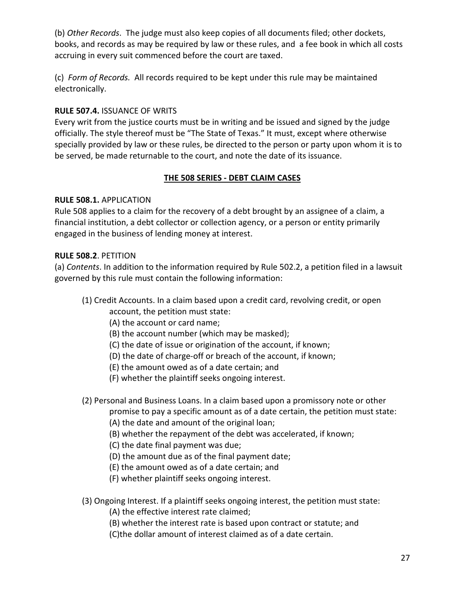(b) Other Records. The judge must also keep copies of all documents filed; other dockets, books, and records as may be required by law or these rules, and a fee book in which all costs accruing in every suit commenced before the court are taxed.

(c) Form of Records. All records required to be kept under this rule may be maintained electronically.

## RULE 507.4. ISSUANCE OF WRITS

Every writ from the justice courts must be in writing and be issued and signed by the judge officially. The style thereof must be "The State of Texas." It must, except where otherwise specially provided by law or these rules, be directed to the person or party upon whom it is to be served, be made returnable to the court, and note the date of its issuance.

## THE 508 SERIES - DEBT CLAIM CASES

## RULE 508.1. APPLICATION

Rule 508 applies to a claim for the recovery of a debt brought by an assignee of a claim, a financial institution, a debt collector or collection agency, or a person or entity primarily engaged in the business of lending money at interest.

## RULE 508.2. PETITION

(a) Contents. In addition to the information required by Rule 502.2, a petition filed in a lawsuit governed by this rule must contain the following information:

- (1) Credit Accounts. In a claim based upon a credit card, revolving credit, or open
	- account, the petition must state:
	- (A) the account or card name;
	- (B) the account number (which may be masked);
	- (C) the date of issue or origination of the account, if known;
	- (D) the date of charge-off or breach of the account, if known;
	- (E) the amount owed as of a date certain; and
	- (F) whether the plaintiff seeks ongoing interest.
- (2) Personal and Business Loans. In a claim based upon a promissory note or other

promise to pay a specific amount as of a date certain, the petition must state:

- (A) the date and amount of the original loan;
- (B) whether the repayment of the debt was accelerated, if known;
- (C) the date final payment was due;
- (D) the amount due as of the final payment date;
- (E) the amount owed as of a date certain; and
- (F) whether plaintiff seeks ongoing interest.
- (3) Ongoing Interest. If a plaintiff seeks ongoing interest, the petition must state:
	- (A) the effective interest rate claimed;
	- (B) whether the interest rate is based upon contract or statute; and
	- (C)the dollar amount of interest claimed as of a date certain.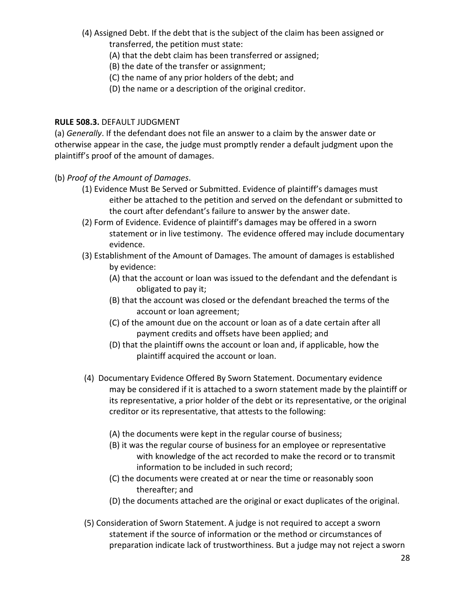- (4) Assigned Debt. If the debt that is the subject of the claim has been assigned or transferred, the petition must state:
	- (A) that the debt claim has been transferred or assigned;
	- (B) the date of the transfer or assignment;
	- (C) the name of any prior holders of the debt; and
	- (D) the name or a description of the original creditor.

## RULE 508.3. DEFAULT JUDGMENT

(a) Generally. If the defendant does not file an answer to a claim by the answer date or otherwise appear in the case, the judge must promptly render a default judgment upon the plaintiff's proof of the amount of damages.

- (b) Proof of the Amount of Damages.
	- (1) Evidence Must Be Served or Submitted. Evidence of plaintiff's damages must either be attached to the petition and served on the defendant or submitted to the court after defendant's failure to answer by the answer date.
	- (2) Form of Evidence. Evidence of plaintiff's damages may be offered in a sworn statement or in live testimony. The evidence offered may include documentary evidence.
	- (3) Establishment of the Amount of Damages. The amount of damages is established by evidence:
		- (A) that the account or loan was issued to the defendant and the defendant is obligated to pay it;
		- (B) that the account was closed or the defendant breached the terms of the account or loan agreement;
		- (C) of the amount due on the account or loan as of a date certain after all payment credits and offsets have been applied; and
		- (D) that the plaintiff owns the account or loan and, if applicable, how the plaintiff acquired the account or loan.
	- (4) Documentary Evidence Offered By Sworn Statement. Documentary evidence may be considered if it is attached to a sworn statement made by the plaintiff or its representative, a prior holder of the debt or its representative, or the original creditor or its representative, that attests to the following:
		- (A) the documents were kept in the regular course of business;
		- (B) it was the regular course of business for an employee or representative with knowledge of the act recorded to make the record or to transmit information to be included in such record;
		- (C) the documents were created at or near the time or reasonably soon thereafter; and
		- (D) the documents attached are the original or exact duplicates of the original.
	- (5) Consideration of Sworn Statement. A judge is not required to accept a sworn statement if the source of information or the method or circumstances of preparation indicate lack of trustworthiness. But a judge may not reject a sworn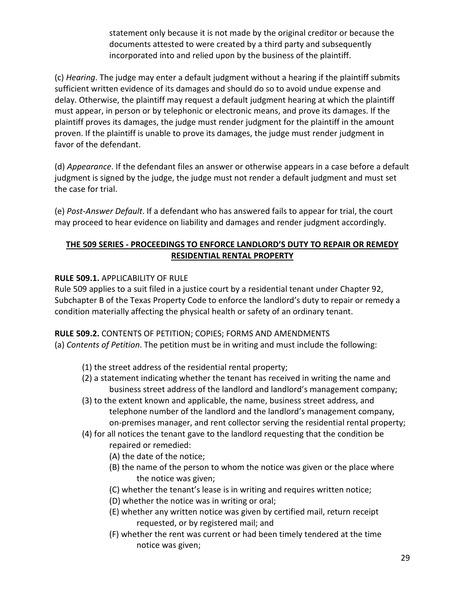statement only because it is not made by the original creditor or because the documents attested to were created by a third party and subsequently incorporated into and relied upon by the business of the plaintiff.

(c) Hearing. The judge may enter a default judgment without a hearing if the plaintiff submits sufficient written evidence of its damages and should do so to avoid undue expense and delay. Otherwise, the plaintiff may request a default judgment hearing at which the plaintiff must appear, in person or by telephonic or electronic means, and prove its damages. If the plaintiff proves its damages, the judge must render judgment for the plaintiff in the amount proven. If the plaintiff is unable to prove its damages, the judge must render judgment in favor of the defendant.

(d) Appearance. If the defendant files an answer or otherwise appears in a case before a default judgment is signed by the judge, the judge must not render a default judgment and must set the case for trial.

(e) Post-Answer Default. If a defendant who has answered fails to appear for trial, the court may proceed to hear evidence on liability and damages and render judgment accordingly.

## THE 509 SERIES - PROCEEDINGS TO ENFORCE LANDLORD'S DUTY TO REPAIR OR REMEDY RESIDENTIAL RENTAL PROPERTY

## RULE 509.1. APPLICABILITY OF RULE

Rule 509 applies to a suit filed in a justice court by a residential tenant under Chapter 92, Subchapter B of the Texas Property Code to enforce the landlord's duty to repair or remedy a condition materially affecting the physical health or safety of an ordinary tenant.

## RULE 509.2. CONTENTS OF PETITION; COPIES; FORMS AND AMENDMENTS

(a) Contents of Petition. The petition must be in writing and must include the following:

- (1) the street address of the residential rental property;
- (2) a statement indicating whether the tenant has received in writing the name and business street address of the landlord and landlord's management company;
- (3) to the extent known and applicable, the name, business street address, and telephone number of the landlord and the landlord's management company, on-premises manager, and rent collector serving the residential rental property;
- (4) for all notices the tenant gave to the landlord requesting that the condition be repaired or remedied:
	- (A) the date of the notice;
	- (B) the name of the person to whom the notice was given or the place where the notice was given;
	- (C) whether the tenant's lease is in writing and requires written notice;
	- (D) whether the notice was in writing or oral;
	- (E) whether any written notice was given by certified mail, return receipt requested, or by registered mail; and
	- (F) whether the rent was current or had been timely tendered at the time notice was given;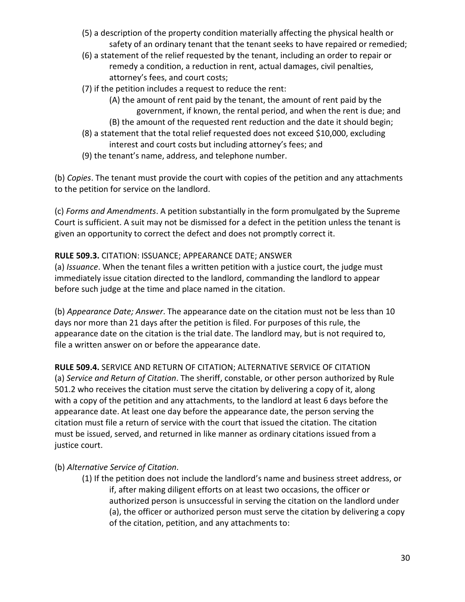- (5) a description of the property condition materially affecting the physical health or safety of an ordinary tenant that the tenant seeks to have repaired or remedied;
- (6) a statement of the relief requested by the tenant, including an order to repair or remedy a condition, a reduction in rent, actual damages, civil penalties, attorney's fees, and court costs;
- (7) if the petition includes a request to reduce the rent:
	- (A) the amount of rent paid by the tenant, the amount of rent paid by the government, if known, the rental period, and when the rent is due; and
	- (B) the amount of the requested rent reduction and the date it should begin;
- (8) a statement that the total relief requested does not exceed \$10,000, excluding interest and court costs but including attorney's fees; and
- (9) the tenant's name, address, and telephone number.

(b) Copies. The tenant must provide the court with copies of the petition and any attachments to the petition for service on the landlord.

(c) Forms and Amendments. A petition substantially in the form promulgated by the Supreme Court is sufficient. A suit may not be dismissed for a defect in the petition unless the tenant is given an opportunity to correct the defect and does not promptly correct it.

## RULE 509.3. CITATION: ISSUANCE; APPEARANCE DATE; ANSWER

(a) *Issuance*. When the tenant files a written petition with a justice court, the judge must immediately issue citation directed to the landlord, commanding the landlord to appear before such judge at the time and place named in the citation.

(b) Appearance Date; Answer. The appearance date on the citation must not be less than 10 days nor more than 21 days after the petition is filed. For purposes of this rule, the appearance date on the citation is the trial date. The landlord may, but is not required to, file a written answer on or before the appearance date.

RULE 509.4. SERVICE AND RETURN OF CITATION; ALTERNATIVE SERVICE OF CITATION (a) Service and Return of Citation. The sheriff, constable, or other person authorized by Rule 501.2 who receives the citation must serve the citation by delivering a copy of it, along with a copy of the petition and any attachments, to the landlord at least 6 days before the appearance date. At least one day before the appearance date, the person serving the citation must file a return of service with the court that issued the citation. The citation must be issued, served, and returned in like manner as ordinary citations issued from a justice court.

## (b) Alternative Service of Citation.

 (1) If the petition does not include the landlord's name and business street address, or if, after making diligent efforts on at least two occasions, the officer or authorized person is unsuccessful in serving the citation on the landlord under (a), the officer or authorized person must serve the citation by delivering a copy of the citation, petition, and any attachments to: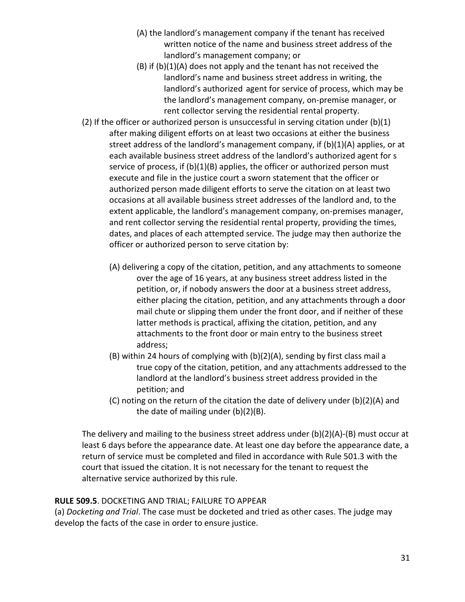- (A) the landlord's management company if the tenant has received written notice of the name and business street address of the landlord's management company; or
- (B) if (b)(1)(A) does not apply and the tenant has not received the landlord's name and business street address in writing, the landlord's authorized agent for service of process, which may be the landlord's management company, on-premise manager, or rent collector serving the residential rental property.
- (2) If the officer or authorized person is unsuccessful in serving citation under  $(b)(1)$  after making diligent efforts on at least two occasions at either the business street address of the landlord's management company, if (b)(1)(A) applies, or at each available business street address of the landlord's authorized agent for s service of process, if (b)(1)(B) applies, the officer or authorized person must execute and file in the justice court a sworn statement that the officer or authorized person made diligent efforts to serve the citation on at least two occasions at all available business street addresses of the landlord and, to the extent applicable, the landlord's management company, on-premises manager, and rent collector serving the residential rental property, providing the times, dates, and places of each attempted service. The judge may then authorize the officer or authorized person to serve citation by:
	- (A) delivering a copy of the citation, petition, and any attachments to someone over the age of 16 years, at any business street address listed in the petition, or, if nobody answers the door at a business street address, either placing the citation, petition, and any attachments through a door mail chute or slipping them under the front door, and if neither of these latter methods is practical, affixing the citation, petition, and any attachments to the front door or main entry to the business street address;
	- (B) within 24 hours of complying with (b)(2)(A), sending by first class mail a true copy of the citation, petition, and any attachments addressed to the landlord at the landlord's business street address provided in the petition; and
	- (C) noting on the return of the citation the date of delivery under (b)(2)(A) and the date of mailing under (b)(2)(B).

The delivery and mailing to the business street address under  $(b)(2)(A)-(B)$  must occur at least 6 days before the appearance date. At least one day before the appearance date, a return of service must be completed and filed in accordance with Rule 501.3 with the court that issued the citation. It is not necessary for the tenant to request the alternative service authorized by this rule.

#### RULE 509.5. DOCKETING AND TRIAL; FAILURE TO APPEAR

(a) Docketing and Trial. The case must be docketed and tried as other cases. The judge may develop the facts of the case in order to ensure justice.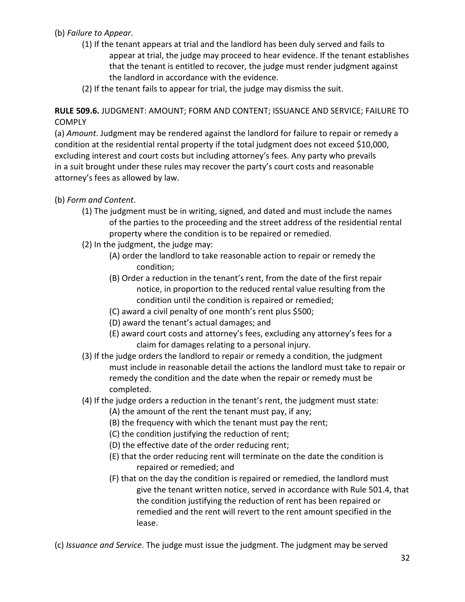## (b) Failure to Appear.

- (1) If the tenant appears at trial and the landlord has been duly served and fails to appear at trial, the judge may proceed to hear evidence. If the tenant establishes that the tenant is entitled to recover, the judge must render judgment against the landlord in accordance with the evidence.
- (2) If the tenant fails to appear for trial, the judge may dismiss the suit.

RULE 509.6. JUDGMENT: AMOUNT; FORM AND CONTENT; ISSUANCE AND SERVICE; FAILURE TO **COMPLY** 

(a) Amount. Judgment may be rendered against the landlord for failure to repair or remedy a condition at the residential rental property if the total judgment does not exceed \$10,000, excluding interest and court costs but including attorney's fees. Any party who prevails in a suit brought under these rules may recover the party's court costs and reasonable attorney's fees as allowed by law.

(b) Form and Content.

- (1) The judgment must be in writing, signed, and dated and must include the names of the parties to the proceeding and the street address of the residential rental property where the condition is to be repaired or remedied.
- (2) In the judgment, the judge may:
	- (A) order the landlord to take reasonable action to repair or remedy the condition;
	- (B) Order a reduction in the tenant's rent, from the date of the first repair notice, in proportion to the reduced rental value resulting from the condition until the condition is repaired or remedied;
	- (C) award a civil penalty of one month's rent plus \$500;
	- (D) award the tenant's actual damages; and
	- (E) award court costs and attorney's fees, excluding any attorney's fees for a claim for damages relating to a personal injury.
- (3) If the judge orders the landlord to repair or remedy a condition, the judgment must include in reasonable detail the actions the landlord must take to repair or remedy the condition and the date when the repair or remedy must be completed.
- (4) If the judge orders a reduction in the tenant's rent, the judgment must state:
	- (A) the amount of the rent the tenant must pay, if any;
	- (B) the frequency with which the tenant must pay the rent;
	- (C) the condition justifying the reduction of rent;
	- (D) the effective date of the order reducing rent;
	- (E) that the order reducing rent will terminate on the date the condition is repaired or remedied; and
	- (F) that on the day the condition is repaired or remedied, the landlord must give the tenant written notice, served in accordance with Rule 501.4, that the condition justifying the reduction of rent has been repaired or remedied and the rent will revert to the rent amount specified in the lease.

(c) Issuance and Service. The judge must issue the judgment. The judgment may be served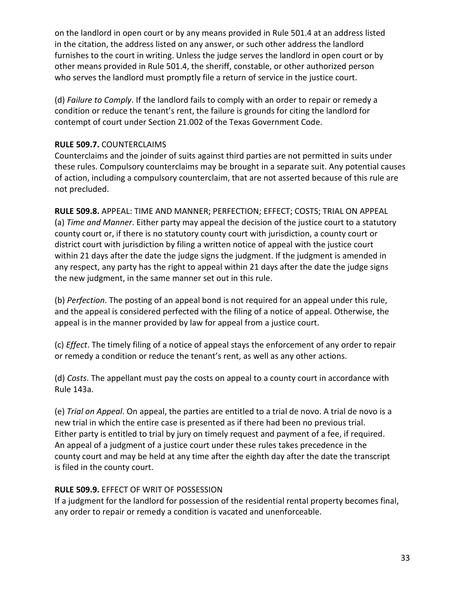on the landlord in open court or by any means provided in Rule 501.4 at an address listed in the citation, the address listed on any answer, or such other address the landlord furnishes to the court in writing. Unless the judge serves the landlord in open court or by other means provided in Rule 501.4, the sheriff, constable, or other authorized person who serves the landlord must promptly file a return of service in the justice court.

(d) Failure to Comply. If the landlord fails to comply with an order to repair or remedy a condition or reduce the tenant's rent, the failure is grounds for citing the landlord for contempt of court under Section 21.002 of the Texas Government Code.

## RULE 509.7. COUNTERCLAIMS

Counterclaims and the joinder of suits against third parties are not permitted in suits under these rules. Compulsory counterclaims may be brought in a separate suit. Any potential causes of action, including a compulsory counterclaim, that are not asserted because of this rule are not precluded.

RULE 509.8. APPEAL: TIME AND MANNER; PERFECTION; EFFECT; COSTS; TRIAL ON APPEAL (a) Time and Manner. Either party may appeal the decision of the justice court to a statutory county court or, if there is no statutory county court with jurisdiction, a county court or district court with jurisdiction by filing a written notice of appeal with the justice court within 21 days after the date the judge signs the judgment. If the judgment is amended in any respect, any party has the right to appeal within 21 days after the date the judge signs the new judgment, in the same manner set out in this rule.

(b) Perfection. The posting of an appeal bond is not required for an appeal under this rule, and the appeal is considered perfected with the filing of a notice of appeal. Otherwise, the appeal is in the manner provided by law for appeal from a justice court.

(c) Effect. The timely filing of a notice of appeal stays the enforcement of any order to repair or remedy a condition or reduce the tenant's rent, as well as any other actions.

(d) Costs. The appellant must pay the costs on appeal to a county court in accordance with Rule 143a.

(e) Trial on Appeal. On appeal, the parties are entitled to a trial de novo. A trial de novo is a new trial in which the entire case is presented as if there had been no previous trial. Either party is entitled to trial by jury on timely request and payment of a fee, if required. An appeal of a judgment of a justice court under these rules takes precedence in the county court and may be held at any time after the eighth day after the date the transcript is filed in the county court.

## RULE 509.9. EFFECT OF WRIT OF POSSESSION

If a judgment for the landlord for possession of the residential rental property becomes final, any order to repair or remedy a condition is vacated and unenforceable.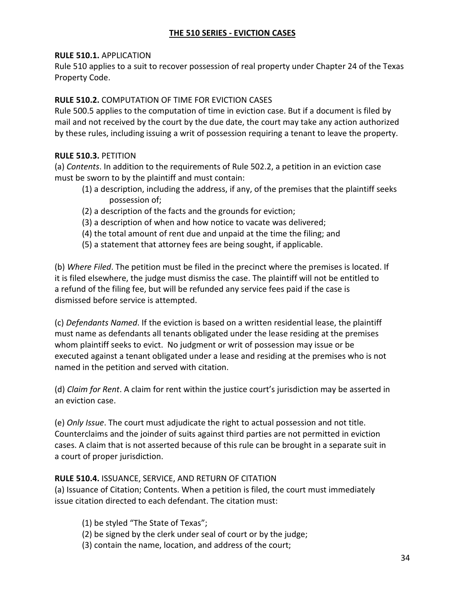## THE 510 SERIES - EVICTION CASES

#### RULE 510.1. APPLICATION

Rule 510 applies to a suit to recover possession of real property under Chapter 24 of the Texas Property Code.

## RULE 510.2. COMPUTATION OF TIME FOR EVICTION CASES

Rule 500.5 applies to the computation of time in eviction case. But if a document is filed by mail and not received by the court by the due date, the court may take any action authorized by these rules, including issuing a writ of possession requiring a tenant to leave the property.

## RULE 510.3. PETITION

(a) Contents. In addition to the requirements of Rule 502.2, a petition in an eviction case must be sworn to by the plaintiff and must contain:

- (1) a description, including the address, if any, of the premises that the plaintiff seeks possession of;
- (2) a description of the facts and the grounds for eviction;
- (3) a description of when and how notice to vacate was delivered;
- (4) the total amount of rent due and unpaid at the time the filing; and
- (5) a statement that attorney fees are being sought, if applicable.

(b) Where Filed. The petition must be filed in the precinct where the premises is located. If it is filed elsewhere, the judge must dismiss the case. The plaintiff will not be entitled to a refund of the filing fee, but will be refunded any service fees paid if the case is dismissed before service is attempted.

(c) Defendants Named. If the eviction is based on a written residential lease, the plaintiff must name as defendants all tenants obligated under the lease residing at the premises whom plaintiff seeks to evict. No judgment or writ of possession may issue or be executed against a tenant obligated under a lease and residing at the premises who is not named in the petition and served with citation.

(d) Claim for Rent. A claim for rent within the justice court's jurisdiction may be asserted in an eviction case.

(e) Only Issue. The court must adjudicate the right to actual possession and not title. Counterclaims and the joinder of suits against third parties are not permitted in eviction cases. A claim that is not asserted because of this rule can be brought in a separate suit in a court of proper jurisdiction.

## RULE 510.4. ISSUANCE, SERVICE, AND RETURN OF CITATION

(a) Issuance of Citation; Contents. When a petition is filed, the court must immediately issue citation directed to each defendant. The citation must:

- (1) be styled "The State of Texas";
- (2) be signed by the clerk under seal of court or by the judge;
- (3) contain the name, location, and address of the court;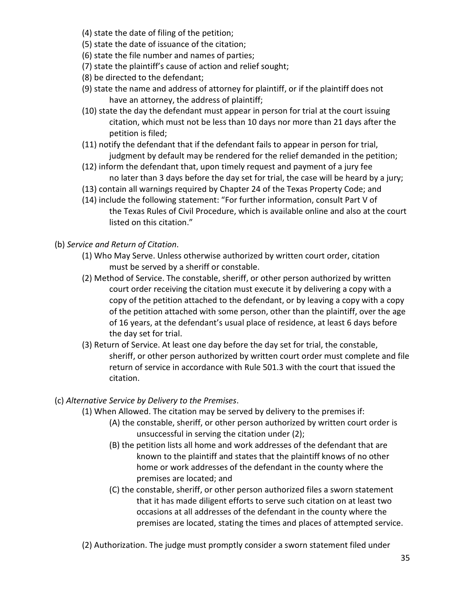- (4) state the date of filing of the petition;
- (5) state the date of issuance of the citation;
- (6) state the file number and names of parties;
- (7) state the plaintiff's cause of action and relief sought;
- (8) be directed to the defendant;
- (9) state the name and address of attorney for plaintiff, or if the plaintiff does not have an attorney, the address of plaintiff;
- (10) state the day the defendant must appear in person for trial at the court issuing citation, which must not be less than 10 days nor more than 21 days after the petition is filed;
- (11) notify the defendant that if the defendant fails to appear in person for trial, judgment by default may be rendered for the relief demanded in the petition;
- (12) inform the defendant that, upon timely request and payment of a jury fee no later than 3 days before the day set for trial, the case will be heard by a jury;
- (13) contain all warnings required by Chapter 24 of the Texas Property Code; and
- (14) include the following statement: "For further information, consult Part V of the Texas Rules of Civil Procedure, which is available online and also at the court listed on this citation."
- (b) Service and Return of Citation.
	- (1) Who May Serve. Unless otherwise authorized by written court order, citation must be served by a sheriff or constable.
	- (2) Method of Service. The constable, sheriff, or other person authorized by written court order receiving the citation must execute it by delivering a copy with a copy of the petition attached to the defendant, or by leaving a copy with a copy of the petition attached with some person, other than the plaintiff, over the age of 16 years, at the defendant's usual place of residence, at least 6 days before the day set for trial.
	- (3) Return of Service. At least one day before the day set for trial, the constable, sheriff, or other person authorized by written court order must complete and file return of service in accordance with Rule 501.3 with the court that issued the citation.

## (c) Alternative Service by Delivery to the Premises.

- (1) When Allowed. The citation may be served by delivery to the premises if:
	- (A) the constable, sheriff, or other person authorized by written court order is unsuccessful in serving the citation under (2);
	- (B) the petition lists all home and work addresses of the defendant that are known to the plaintiff and states that the plaintiff knows of no other home or work addresses of the defendant in the county where the premises are located; and
	- (C) the constable, sheriff, or other person authorized files a sworn statement that it has made diligent efforts to serve such citation on at least two occasions at all addresses of the defendant in the county where the premises are located, stating the times and places of attempted service.
- (2) Authorization. The judge must promptly consider a sworn statement filed under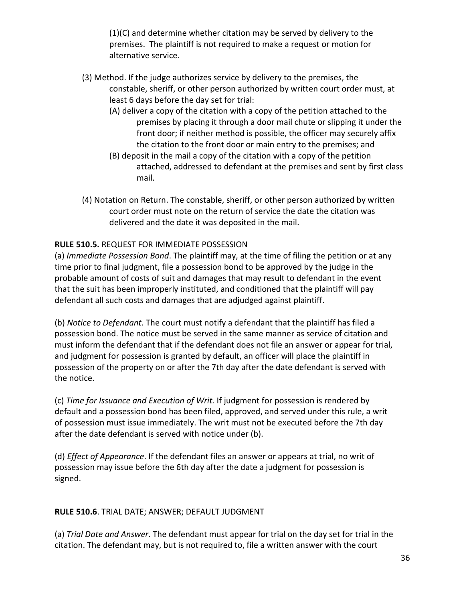(1)(C) and determine whether citation may be served by delivery to the premises. The plaintiff is not required to make a request or motion for alternative service.

- (3) Method. If the judge authorizes service by delivery to the premises, the constable, sheriff, or other person authorized by written court order must, at least 6 days before the day set for trial:
	- (A) deliver a copy of the citation with a copy of the petition attached to the premises by placing it through a door mail chute or slipping it under the front door; if neither method is possible, the officer may securely affix the citation to the front door or main entry to the premises; and
	- (B) deposit in the mail a copy of the citation with a copy of the petition attached, addressed to defendant at the premises and sent by first class mail.
- (4) Notation on Return. The constable, sheriff, or other person authorized by written court order must note on the return of service the date the citation was delivered and the date it was deposited in the mail.

## RULE 510.5. REQUEST FOR IMMEDIATE POSSESSION

(a) Immediate Possession Bond. The plaintiff may, at the time of filing the petition or at any time prior to final judgment, file a possession bond to be approved by the judge in the probable amount of costs of suit and damages that may result to defendant in the event that the suit has been improperly instituted, and conditioned that the plaintiff will pay defendant all such costs and damages that are adjudged against plaintiff.

(b) Notice to Defendant. The court must notify a defendant that the plaintiff has filed a possession bond. The notice must be served in the same manner as service of citation and must inform the defendant that if the defendant does not file an answer or appear for trial, and judgment for possession is granted by default, an officer will place the plaintiff in possession of the property on or after the 7th day after the date defendant is served with the notice.

(c) Time for Issuance and Execution of Writ. If judgment for possession is rendered by default and a possession bond has been filed, approved, and served under this rule, a writ of possession must issue immediately. The writ must not be executed before the 7th day after the date defendant is served with notice under (b).

(d) Effect of Appearance. If the defendant files an answer or appears at trial, no writ of possession may issue before the 6th day after the date a judgment for possession is signed.

## RULE 510.6. TRIAL DATE; ANSWER; DEFAULT JUDGMENT

(a) Trial Date and Answer. The defendant must appear for trial on the day set for trial in the citation. The defendant may, but is not required to, file a written answer with the court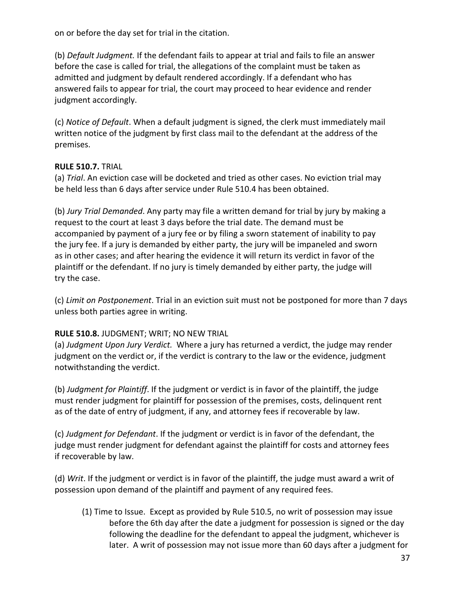on or before the day set for trial in the citation.

(b) Default Judgment. If the defendant fails to appear at trial and fails to file an answer before the case is called for trial, the allegations of the complaint must be taken as admitted and judgment by default rendered accordingly. If a defendant who has answered fails to appear for trial, the court may proceed to hear evidence and render judgment accordingly.

(c) Notice of Default. When a default judgment is signed, the clerk must immediately mail written notice of the judgment by first class mail to the defendant at the address of the premises.

#### RULE 510.7. TRIAL

(a) Trial. An eviction case will be docketed and tried as other cases. No eviction trial may be held less than 6 days after service under Rule 510.4 has been obtained.

(b) Jury Trial Demanded. Any party may file a written demand for trial by jury by making a request to the court at least 3 days before the trial date. The demand must be accompanied by payment of a jury fee or by filing a sworn statement of inability to pay the jury fee. If a jury is demanded by either party, the jury will be impaneled and sworn as in other cases; and after hearing the evidence it will return its verdict in favor of the plaintiff or the defendant. If no jury is timely demanded by either party, the judge will try the case.

(c) Limit on Postponement. Trial in an eviction suit must not be postponed for more than 7 days unless both parties agree in writing.

## RULE 510.8. JUDGMENT; WRIT; NO NEW TRIAL

(a) Judgment Upon Jury Verdict. Where a jury has returned a verdict, the judge may render judgment on the verdict or, if the verdict is contrary to the law or the evidence, judgment notwithstanding the verdict.

(b) Judgment for Plaintiff. If the judgment or verdict is in favor of the plaintiff, the judge must render judgment for plaintiff for possession of the premises, costs, delinquent rent as of the date of entry of judgment, if any, and attorney fees if recoverable by law.

(c) Judgment for Defendant. If the judgment or verdict is in favor of the defendant, the judge must render judgment for defendant against the plaintiff for costs and attorney fees if recoverable by law.

(d) Writ. If the judgment or verdict is in favor of the plaintiff, the judge must award a writ of possession upon demand of the plaintiff and payment of any required fees.

 (1) Time to Issue. Except as provided by Rule 510.5, no writ of possession may issue before the 6th day after the date a judgment for possession is signed or the day following the deadline for the defendant to appeal the judgment, whichever is later. A writ of possession may not issue more than 60 days after a judgment for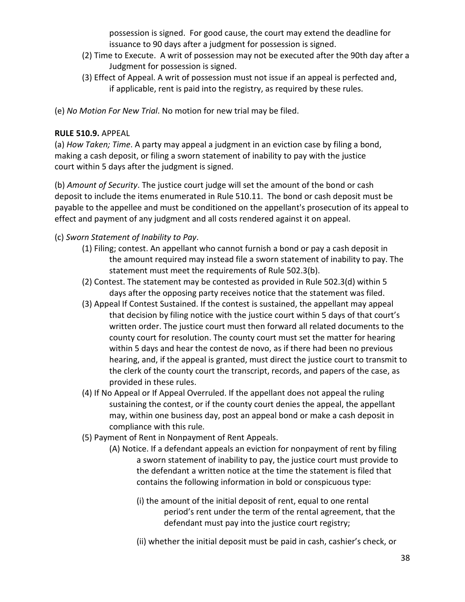possession is signed. For good cause, the court may extend the deadline for issuance to 90 days after a judgment for possession is signed.

- (2) Time to Execute. A writ of possession may not be executed after the 90th day after a Judgment for possession is signed.
- (3) Effect of Appeal. A writ of possession must not issue if an appeal is perfected and, if applicable, rent is paid into the registry, as required by these rules.
- (e) No Motion For New Trial. No motion for new trial may be filed.

## RULE 510.9. APPEAL

(a) How Taken; Time. A party may appeal a judgment in an eviction case by filing a bond, making a cash deposit, or filing a sworn statement of inability to pay with the justice court within 5 days after the judgment is signed.

(b) Amount of Security. The justice court judge will set the amount of the bond or cash deposit to include the items enumerated in Rule 510.11. The bond or cash deposit must be payable to the appellee and must be conditioned on the appellant's prosecution of its appeal to effect and payment of any judgment and all costs rendered against it on appeal.

## (c) Sworn Statement of Inability to Pay.

- (1) Filing; contest. An appellant who cannot furnish a bond or pay a cash deposit in the amount required may instead file a sworn statement of inability to pay. The statement must meet the requirements of Rule 502.3(b).
- (2) Contest. The statement may be contested as provided in Rule 502.3(d) within 5 days after the opposing party receives notice that the statement was filed.
- (3) Appeal If Contest Sustained. If the contest is sustained, the appellant may appeal that decision by filing notice with the justice court within 5 days of that court's written order. The justice court must then forward all related documents to the county court for resolution. The county court must set the matter for hearing within 5 days and hear the contest de novo, as if there had been no previous hearing, and, if the appeal is granted, must direct the justice court to transmit to the clerk of the county court the transcript, records, and papers of the case, as provided in these rules.
- (4) If No Appeal or If Appeal Overruled. If the appellant does not appeal the ruling sustaining the contest, or if the county court denies the appeal, the appellant may, within one business day, post an appeal bond or make a cash deposit in compliance with this rule.
- (5) Payment of Rent in Nonpayment of Rent Appeals.
	- (A) Notice. If a defendant appeals an eviction for nonpayment of rent by filing a sworn statement of inability to pay, the justice court must provide to the defendant a written notice at the time the statement is filed that contains the following information in bold or conspicuous type:
		- (i) the amount of the initial deposit of rent, equal to one rental period's rent under the term of the rental agreement, that the defendant must pay into the justice court registry;
		- (ii) whether the initial deposit must be paid in cash, cashier's check, or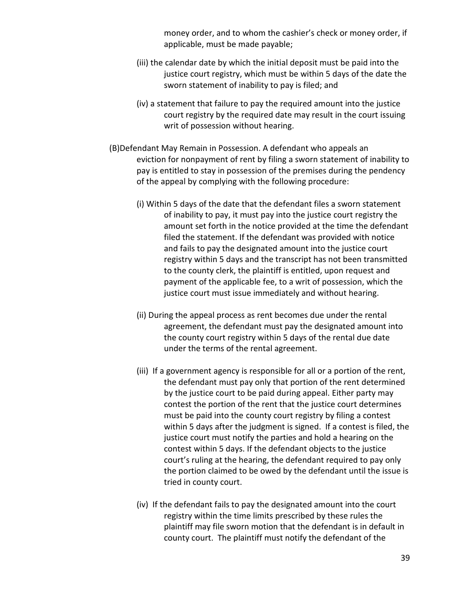money order, and to whom the cashier's check or money order, if applicable, must be made payable;

- (iii) the calendar date by which the initial deposit must be paid into the justice court registry, which must be within 5 days of the date the sworn statement of inability to pay is filed; and
- (iv) a statement that failure to pay the required amount into the justice court registry by the required date may result in the court issuing writ of possession without hearing.
- (B)Defendant May Remain in Possession. A defendant who appeals an eviction for nonpayment of rent by filing a sworn statement of inability to pay is entitled to stay in possession of the premises during the pendency of the appeal by complying with the following procedure:
	- (i) Within 5 days of the date that the defendant files a sworn statement of inability to pay, it must pay into the justice court registry the amount set forth in the notice provided at the time the defendant filed the statement. If the defendant was provided with notice and fails to pay the designated amount into the justice court registry within 5 days and the transcript has not been transmitted to the county clerk, the plaintiff is entitled, upon request and payment of the applicable fee, to a writ of possession, which the justice court must issue immediately and without hearing.
	- (ii) During the appeal process as rent becomes due under the rental agreement, the defendant must pay the designated amount into the county court registry within 5 days of the rental due date under the terms of the rental agreement.
	- (iii) If a government agency is responsible for all or a portion of the rent, the defendant must pay only that portion of the rent determined by the justice court to be paid during appeal. Either party may contest the portion of the rent that the justice court determines must be paid into the county court registry by filing a contest within 5 days after the judgment is signed. If a contest is filed, the justice court must notify the parties and hold a hearing on the contest within 5 days. If the defendant objects to the justice court's ruling at the hearing, the defendant required to pay only the portion claimed to be owed by the defendant until the issue is tried in county court.
	- (iv) If the defendant fails to pay the designated amount into the court registry within the time limits prescribed by these rules the plaintiff may file sworn motion that the defendant is in default in county court. The plaintiff must notify the defendant of the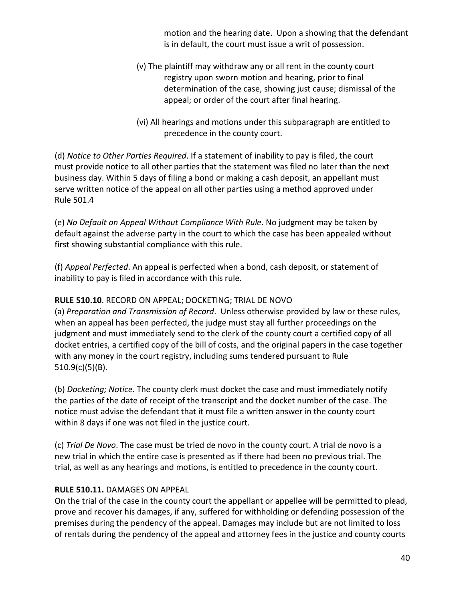motion and the hearing date. Upon a showing that the defendant is in default, the court must issue a writ of possession.

- (v) The plaintiff may withdraw any or all rent in the county court registry upon sworn motion and hearing, prior to final determination of the case, showing just cause; dismissal of the appeal; or order of the court after final hearing.
- (vi) All hearings and motions under this subparagraph are entitled to precedence in the county court.

(d) Notice to Other Parties Required. If a statement of inability to pay is filed, the court must provide notice to all other parties that the statement was filed no later than the next business day. Within 5 days of filing a bond or making a cash deposit, an appellant must serve written notice of the appeal on all other parties using a method approved under Rule 501.4

(e) No Default on Appeal Without Compliance With Rule. No judgment may be taken by default against the adverse party in the court to which the case has been appealed without first showing substantial compliance with this rule.

(f) Appeal Perfected. An appeal is perfected when a bond, cash deposit, or statement of inability to pay is filed in accordance with this rule.

## RULE 510.10. RECORD ON APPEAL; DOCKETING; TRIAL DE NOVO

(a) Preparation and Transmission of Record. Unless otherwise provided by law or these rules, when an appeal has been perfected, the judge must stay all further proceedings on the judgment and must immediately send to the clerk of the county court a certified copy of all docket entries, a certified copy of the bill of costs, and the original papers in the case together with any money in the court registry, including sums tendered pursuant to Rule 510.9(c)(5)(B).

(b) Docketing; Notice. The county clerk must docket the case and must immediately notify the parties of the date of receipt of the transcript and the docket number of the case. The notice must advise the defendant that it must file a written answer in the county court within 8 days if one was not filed in the justice court.

(c) Trial De Novo. The case must be tried de novo in the county court. A trial de novo is a new trial in which the entire case is presented as if there had been no previous trial. The trial, as well as any hearings and motions, is entitled to precedence in the county court.

## RULE 510.11. DAMAGES ON APPEAL

On the trial of the case in the county court the appellant or appellee will be permitted to plead, prove and recover his damages, if any, suffered for withholding or defending possession of the premises during the pendency of the appeal. Damages may include but are not limited to loss of rentals during the pendency of the appeal and attorney fees in the justice and county courts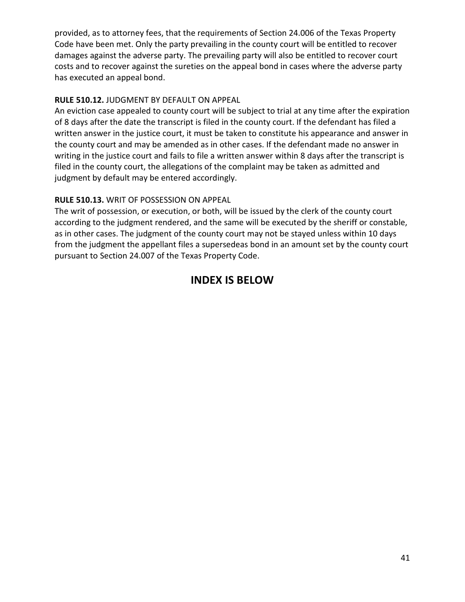provided, as to attorney fees, that the requirements of Section 24.006 of the Texas Property Code have been met. Only the party prevailing in the county court will be entitled to recover damages against the adverse party. The prevailing party will also be entitled to recover court costs and to recover against the sureties on the appeal bond in cases where the adverse party has executed an appeal bond.

## RULE 510.12. JUDGMENT BY DEFAULT ON APPEAL

An eviction case appealed to county court will be subject to trial at any time after the expiration of 8 days after the date the transcript is filed in the county court. If the defendant has filed a written answer in the justice court, it must be taken to constitute his appearance and answer in the county court and may be amended as in other cases. If the defendant made no answer in writing in the justice court and fails to file a written answer within 8 days after the transcript is filed in the county court, the allegations of the complaint may be taken as admitted and judgment by default may be entered accordingly.

## RULE 510.13. WRIT OF POSSESSION ON APPEAL

The writ of possession, or execution, or both, will be issued by the clerk of the county court according to the judgment rendered, and the same will be executed by the sheriff or constable, as in other cases. The judgment of the county court may not be stayed unless within 10 days from the judgment the appellant files a supersedeas bond in an amount set by the county court pursuant to Section 24.007 of the Texas Property Code.

## INDEX IS BELOW